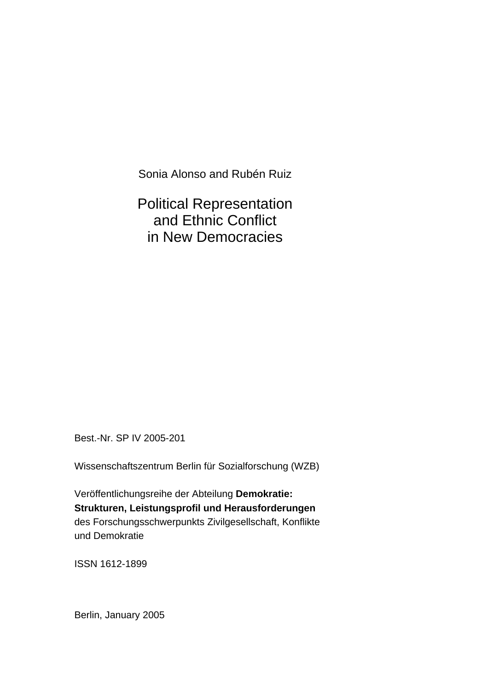Sonia Alonso and Rubén Ruiz

Political Representation and Ethnic Conflict in New Democracies

Best.-Nr. SP IV 2005-201

Wissenschaftszentrum Berlin für Sozialforschung (WZB)

Veröffentlichungsreihe der Abteilung **Demokratie: Strukturen, Leistungsprofil und Herausforderungen** des Forschungsschwerpunkts Zivilgesellschaft, Konflikte und Demokratie

ISSN 1612-1899

Berlin, January 2005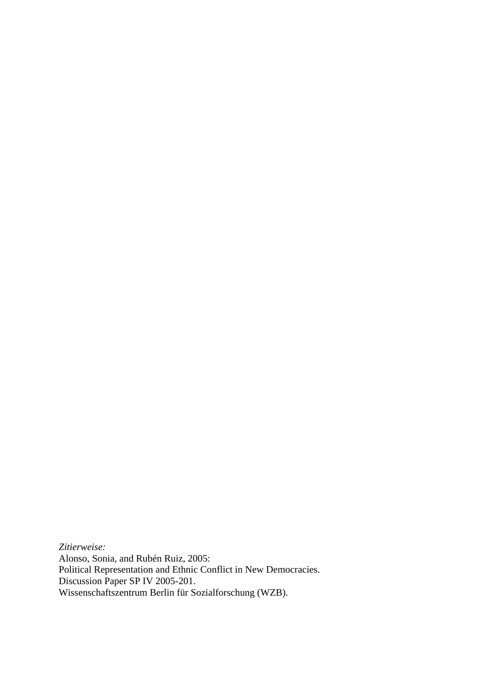*Zitierweise:* Alonso, Sonia, and Rubén Ruiz, 2005: Political Representation and Ethnic Conflict in New Democracies. Discussion Paper SP IV 2005-201. Wissenschaftszentrum Berlin für Sozialforschung (WZB).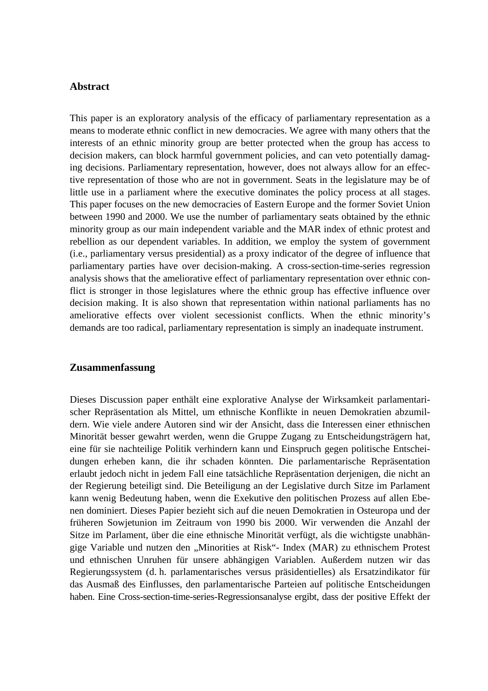## **Abstract**

This paper is an exploratory analysis of the efficacy of parliamentary representation as a means to moderate ethnic conflict in new democracies. We agree with many others that the interests of an ethnic minority group are better protected when the group has access to decision makers, can block harmful government policies, and can veto potentially damaging decisions. Parliamentary representation, however, does not always allow for an effective representation of those who are not in government. Seats in the legislature may be of little use in a parliament where the executive dominates the policy process at all stages. This paper focuses on the new democracies of Eastern Europe and the former Soviet Union between 1990 and 2000. We use the number of parliamentary seats obtained by the ethnic minority group as our main independent variable and the MAR index of ethnic protest and rebellion as our dependent variables. In addition, we employ the system of government (i.e., parliamentary versus presidential) as a proxy indicator of the degree of influence that parliamentary parties have over decision-making. A cross-section-time-series regression analysis shows that the ameliorative effect of parliamentary representation over ethnic conflict is stronger in those legislatures where the ethnic group has effective influence over decision making. It is also shown that representation within national parliaments has no ameliorative effects over violent secessionist conflicts. When the ethnic minority's demands are too radical, parliamentary representation is simply an inadequate instrument.

## **Zusammenfassung**

Dieses Discussion paper enthält eine explorative Analyse der Wirksamkeit parlamentarischer Repräsentation als Mittel, um ethnische Konflikte in neuen Demokratien abzumildern. Wie viele andere Autoren sind wir der Ansicht, dass die Interessen einer ethnischen Minorität besser gewahrt werden, wenn die Gruppe Zugang zu Entscheidungsträgern hat, eine für sie nachteilige Politik verhindern kann und Einspruch gegen politische Entscheidungen erheben kann, die ihr schaden könnten. Die parlamentarische Repräsentation erlaubt jedoch nicht in jedem Fall eine tatsächliche Repräsentation derjenigen, die nicht an der Regierung beteiligt sind. Die Beteiligung an der Legislative durch Sitze im Parlament kann wenig Bedeutung haben, wenn die Exekutive den politischen Prozess auf allen Ebenen dominiert. Dieses Papier bezieht sich auf die neuen Demokratien in Osteuropa und der früheren Sowjetunion im Zeitraum von 1990 bis 2000. Wir verwenden die Anzahl der Sitze im Parlament, über die eine ethnische Minorität verfügt, als die wichtigste unabhängige Variable und nutzen den "Minorities at Risk"- Index (MAR) zu ethnischem Protest und ethnischen Unruhen für unsere abhängigen Variablen. Außerdem nutzen wir das Regierungssystem (d. h. parlamentarisches versus präsidentielles) als Ersatzindikator für das Ausmaß des Einflusses, den parlamentarische Parteien auf politische Entscheidungen haben. Eine Cross-section-time-series-Regressionsanalyse ergibt, dass der positive Effekt der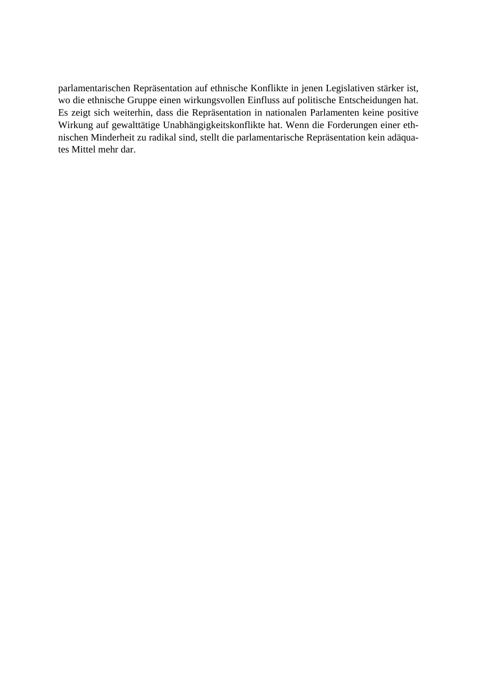parlamentarischen Repräsentation auf ethnische Konflikte in jenen Legislativen stärker ist, wo die ethnische Gruppe einen wirkungsvollen Einfluss auf politische Entscheidungen hat. Es zeigt sich weiterhin, dass die Repräsentation in nationalen Parlamenten keine positive Wirkung auf gewalttätige Unabhängigkeitskonflikte hat. Wenn die Forderungen einer ethnischen Minderheit zu radikal sind, stellt die parlamentarische Repräsentation kein adäquates Mittel mehr dar.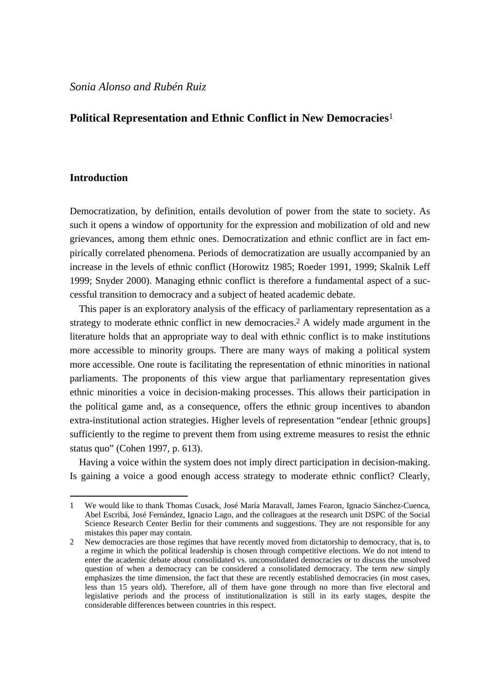## **Political Representation and Ethnic Conflict in New Democracies**[1](#page-4-0)

## **Introduction**

 $\overline{a}$ 

Democratization, by definition, entails devolution of power from the state to society. As such it opens a window of opportunity for the expression and mobilization of old and new grievances, among them ethnic ones. Democratization and ethnic conflict are in fact empirically correlated phenomena. Periods of democratization are usually accompanied by an increase in the levels of ethnic conflict (Horowitz 1985; Roeder 1991, 1999; Skalnik Leff 1999; Snyder 2000). Managing ethnic conflict is therefore a fundamental aspect of a successful transition to democracy and a subject of heated academic debate.

This paper is an exploratory analysis of the efficacy of parliamentary representation as a strategy to moderate ethnic conflict in new democracies[.2](#page-4-1) A widely made argument in the literature holds that an appropriate way to deal with ethnic conflict is to make institutions more accessible to minority groups. There are many ways of making a political system more accessible. One route is facilitating the representation of ethnic minorities in national parliaments. The proponents of this view argue that parliamentary representation gives ethnic minorities a voice in decision-making processes. This allows their participation in the political game and, as a consequence, offers the ethnic group incentives to abandon extra-institutional action strategies. Higher levels of representation "endear [ethnic groups] sufficiently to the regime to prevent them from using extreme measures to resist the ethnic status quo" (Cohen 1997, p. 613).

Having a voice within the system does not imply direct participation in decision-making. Is gaining a voice a good enough access strategy to moderate ethnic conflict? Clearly,

<span id="page-4-0"></span><sup>1</sup> We would like to thank Thomas Cusack, José María Maravall, James Fearon, Ignacio Sánchez-Cuenca, Abel Escribá, José Fernández, Ignacio Lago, and the colleagues at the research unit DSPC of the Social Science Research Center Berlin for their comments and suggestions. They are not responsible for any mistakes this paper may contain.

<span id="page-4-1"></span><sup>2</sup> New democracies are those regimes that have recently moved from dictatorship to democracy, that is, to a regime in which the political leadership is chosen through competitive elections. We do not intend to enter the academic debate about consolidated vs. unconsolidated democracies or to discuss the unsolved question of when a democracy can be considered a consolidated democracy. The term *new* simply emphasizes the time dimension, the fact that these are recently established democracies (in most cases, less than 15 years old). Therefore, all of them have gone through no more than five electoral and legislative periods and the process of institutionalization is still in its early stages, despite the considerable differences between countries in this respect.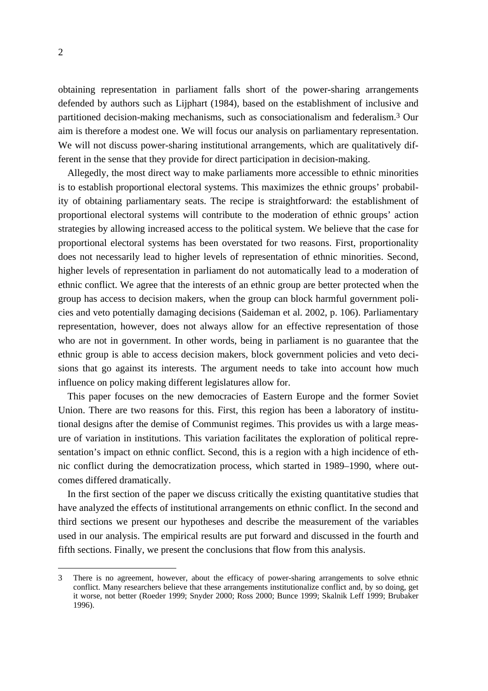obtaining representation in parliament falls short of the power-sharing arrangements defended by authors such as Lijphart (1984), based on the establishment of inclusive and partitioned decision-making mechanisms, such as consociationalism and federalism. [3](#page-5-0) Our aim is therefore a modest one. We will focus our analysis on parliamentary representation. We will not discuss power-sharing institutional arrangements, which are qualitatively different in the sense that they provide for direct participation in decision-making.

Allegedly, the most direct way to make parliaments more accessible to ethnic minorities is to establish proportional electoral systems. This maximizes the ethnic groups' probability of obtaining parliamentary seats. The recipe is straightforward: the establishment of proportional electoral systems will contribute to the moderation of ethnic groups' action strategies by allowing increased access to the political system. We believe that the case for proportional electoral systems has been overstated for two reasons. First, proportionality does not necessarily lead to higher levels of representation of ethnic minorities. Second, higher levels of representation in parliament do not automatically lead to a moderation of ethnic conflict. We agree that the interests of an ethnic group are better protected when the group has access to decision makers, when the group can block harmful government policies and veto potentially damaging decisions (Saideman et al. 2002, p. 106). Parliamentary representation, however, does not always allow for an effective representation of those who are not in government. In other words, being in parliament is no guarantee that the ethnic group is able to access decision makers, block government policies and veto decisions that go against its interests. The argument needs to take into account how much influence on policy making different legislatures allow for.

This paper focuses on the new democracies of Eastern Europe and the former Soviet Union. There are two reasons for this. First, this region has been a laboratory of institutional designs after the demise of Communist regimes. This provides us with a large measure of variation in institutions. This variation facilitates the exploration of political representation's impact on ethnic conflict. Second, this is a region with a high incidence of ethnic conflict during the democratization process, which started in 1989–1990, where outcomes differed dramatically.

In the first section of the paper we discuss critically the existing quantitative studies that have analyzed the effects of institutional arrangements on ethnic conflict. In the second and third sections we present our hypotheses and describe the measurement of the variables used in our analysis. The empirical results are put forward and discussed in the fourth and fifth sections. Finally, we present the conclusions that flow from this analysis.

<span id="page-5-0"></span><sup>3</sup> There is no agreement, however, about the efficacy of power-sharing arrangements to solve ethnic conflict. Many researchers believe that these arrangements institutionalize conflict and, by so doing, get it worse, not better (Roeder 1999; Snyder 2000; Ross 2000; Bunce 1999; Skalnik Leff 1999; Brubaker 1996).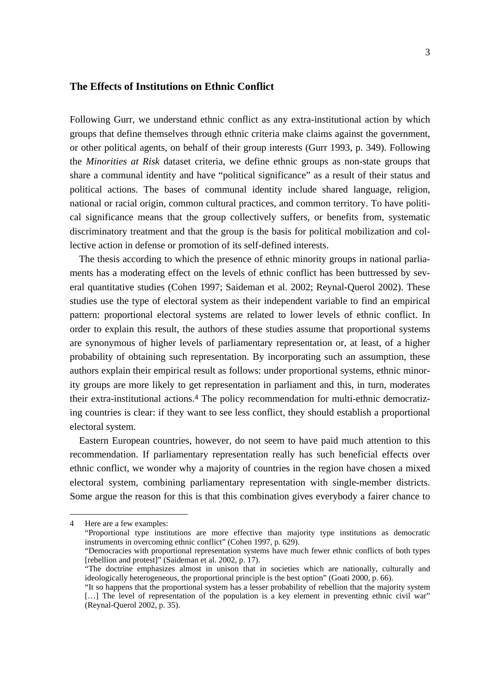## **The Effects of Institutions on Ethnic Conflict**

Following Gurr, we understand ethnic conflict as any extra-institutional action by which groups that define themselves through ethnic criteria make claims against the government, or other political agents, on behalf of their group interests (Gurr 1993, p. 349). Following the *Minorities at Risk* dataset criteria, we define ethnic groups as non-state groups that share a communal identity and have "political significance" as a result of their status and political actions. The bases of communal identity include shared language, religion, national or racial origin, common cultural practices, and common territory. To have political significance means that the group collectively suffers, or benefits from, systematic discriminatory treatment and that the group is the basis for political mobilization and collective action in defense or promotion of its self-defined interests.

The thesis according to which the presence of ethnic minority groups in national parliaments has a moderating effect on the levels of ethnic conflict has been buttressed by several quantitative studies (Cohen 1997; Saideman et al. 2002; Reynal-Querol 2002). These studies use the type of electoral system as their independent variable to find an empirical pattern: proportional electoral systems are related to lower levels of ethnic conflict. In order to explain this result, the authors of these studies assume that proportional systems are synonymous of higher levels of parliamentary representation or, at least, of a higher probability of obtaining such representation. By incorporating such an assumption, these authors explain their empirical result as follows: under proportional systems, ethnic minority groups are more likely to get representation in parliament and this, in turn, moderates their extra-institutional actions. [4](#page-6-0) The policy recommendation for multi-ethnic democratizing countries is clear: if they want to see less conflict, they should establish a proportional electoral system.

Eastern European countries, however, do not seem to have paid much attention to this recommendation. If parliamentary representation really has such beneficial effects over ethnic conflict, we wonder why a majority of countries in the region have chosen a mixed electoral system, combining parliamentary representation with single-member districts. Some argue the reason for this is that this combination gives everybody a fairer chance to

<span id="page-6-0"></span><sup>4</sup> Here are a few examples:

<sup>&</sup>quot;Proportional type institutions are more effective than majority type institutions as democratic instruments in overcoming ethnic conflict" (Cohen 1997, p. 629).

<sup>&</sup>quot;Democracies with proportional representation systems have much fewer ethnic conflicts of both types [rebellion and protest]" (Saideman et al. 2002, p. 17).

<sup>&</sup>quot;The doctrine emphasizes almost in unison that in societies which are nationally, culturally and ideologically heterogeneous, the proportional principle is the best option" (Goati 2000, p. 66).

<sup>&</sup>quot;It so happens that the proportional system has a lesser probability of rebellion that the majority system [...] The level of representation of the population is a key element in preventing ethnic civil war" (Reynal-Querol 2002, p. 35).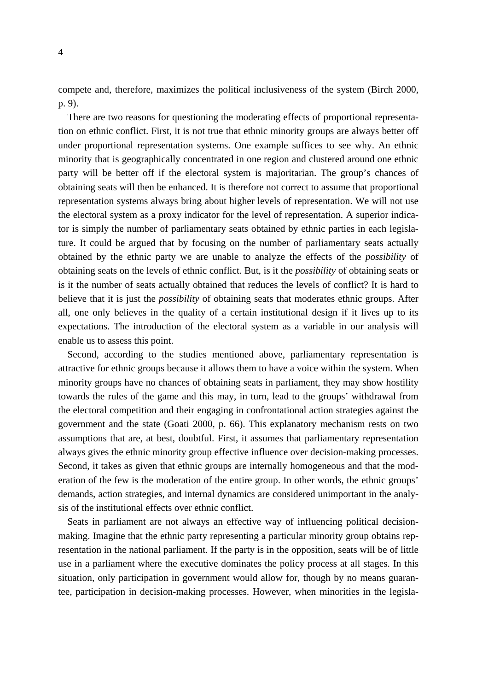compete and, therefore, maximizes the political inclusiveness of the system (Birch 2000, p. 9).

There are two reasons for questioning the moderating effects of proportional representation on ethnic conflict. First, it is not true that ethnic minority groups are always better off under proportional representation systems. One example suffices to see why. An ethnic minority that is geographically concentrated in one region and clustered around one ethnic party will be better off if the electoral system is majoritarian. The group's chances of obtaining seats will then be enhanced. It is therefore not correct to assume that proportional representation systems always bring about higher levels of representation. We will not use the electoral system as a proxy indicator for the level of representation. A superior indicator is simply the number of parliamentary seats obtained by ethnic parties in each legislature. It could be argued that by focusing on the number of parliamentary seats actually obtained by the ethnic party we are unable to analyze the effects of the *possibility* of obtaining seats on the levels of ethnic conflict. But, is it the *possibility* of obtaining seats or is it the number of seats actually obtained that reduces the levels of conflict? It is hard to believe that it is just the *possibility* of obtaining seats that moderates ethnic groups. After all, one only believes in the quality of a certain institutional design if it lives up to its expectations. The introduction of the electoral system as a variable in our analysis will enable us to assess this point.

Second, according to the studies mentioned above, parliamentary representation is attractive for ethnic groups because it allows them to have a voice within the system. When minority groups have no chances of obtaining seats in parliament, they may show hostility towards the rules of the game and this may, in turn, lead to the groups' withdrawal from the electoral competition and their engaging in confrontational action strategies against the government and the state (Goati 2000, p. 66). This explanatory mechanism rests on two assumptions that are, at best, doubtful. First, it assumes that parliamentary representation always gives the ethnic minority group effective influence over decision-making processes. Second, it takes as given that ethnic groups are internally homogeneous and that the moderation of the few is the moderation of the entire group. In other words, the ethnic groups' demands, action strategies, and internal dynamics are considered unimportant in the analysis of the institutional effects over ethnic conflict.

Seats in parliament are not always an effective way of influencing political decisionmaking. Imagine that the ethnic party representing a particular minority group obtains representation in the national parliament. If the party is in the opposition, seats will be of little use in a parliament where the executive dominates the policy process at all stages. In this situation, only participation in government would allow for, though by no means guarantee, participation in decision-making processes. However, when minorities in the legisla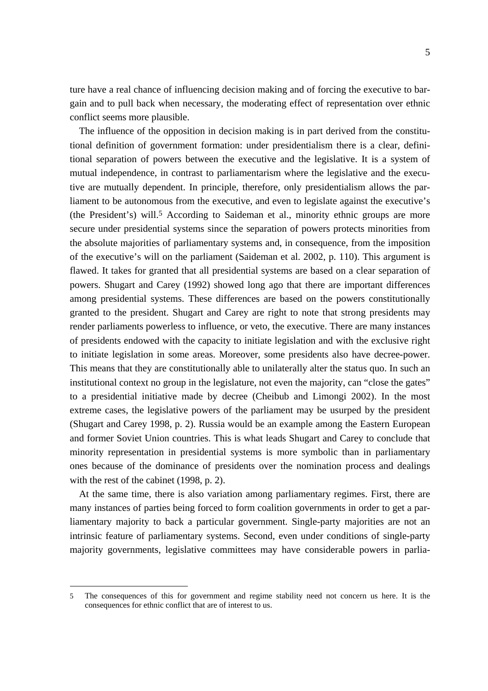ture have a real chance of influencing decision making and of forcing the executive to bargain and to pull back when necessary, the moderating effect of representation over ethnic conflict seems more plausible.

The influence of the opposition in decision making is in part derived from the constitutional definition of government formation: under presidentialism there is a clear, definitional separation of powers between the executive and the legislative. It is a system of mutual independence, in contrast to parliamentarism where the legislative and the executive are mutually dependent. In principle, therefore, only presidentialism allows the parliament to be autonomous from the executive, and even to legislate against the executive's (the President's) will.<sup>5</sup> According to Saideman et al., minority ethnic groups are more secure under presidential systems since the separation of powers protects minorities from the absolute majorities of parliamentary systems and, in consequence, from the imposition of the executive's will on the parliament (Saideman et al. 2002, p. 110). This argument is flawed. It takes for granted that all presidential systems are based on a clear separation of powers. Shugart and Carey (1992) showed long ago that there are important differences among presidential systems. These differences are based on the powers constitutionally granted to the president. Shugart and Carey are right to note that strong presidents may render parliaments powerless to influence, or veto, the executive. There are many instances of presidents endowed with the capacity to initiate legislation and with the exclusive right to initiate legislation in some areas. Moreover, some presidents also have decree-power. This means that they are constitutionally able to unilaterally alter the status quo. In such an institutional context no group in the legislature, not even the majority, can "close the gates" to a presidential initiative made by decree (Cheibub and Limongi 2002). In the most extreme cases, the legislative powers of the parliament may be usurped by the president (Shugart and Carey 1998, p. 2). Russia would be an example among the Eastern European and former Soviet Union countries. This is what leads Shugart and Carey to conclude that minority representation in presidential systems is more symbolic than in parliamentary ones because of the dominance of presidents over the nomination process and dealings with the rest of the cabinet (1998, p. 2).

At the same time, there is also variation among parliamentary regimes. First, there are many instances of parties being forced to form coalition governments in order to get a parliamentary majority to back a particular government. Single-party majorities are not an intrinsic feature of parliamentary systems. Second, even under conditions of single-party majority governments, legislative committees may have considerable powers in parlia-

<span id="page-8-0"></span><sup>5</sup> The consequences of this for government and regime stability need not concern us here. It is the consequences for ethnic conflict that are of interest to us.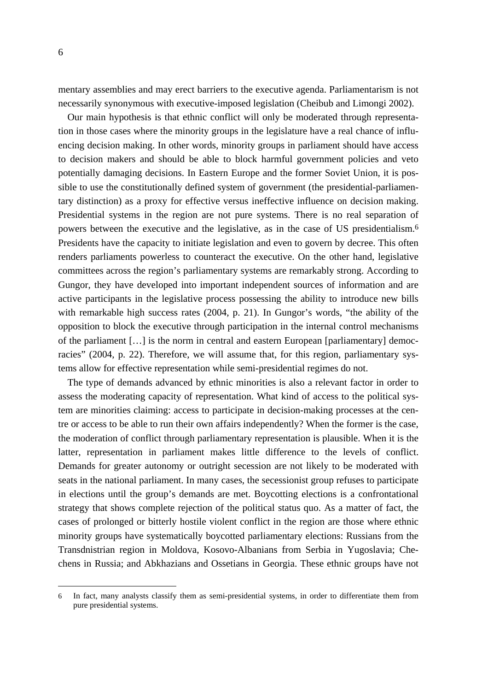mentary assemblies and may erect barriers to the executive agenda. Parliamentarism is not necessarily synonymous with executive-imposed legislation (Cheibub and Limongi 2002).

Our main hypothesis is that ethnic conflict will only be moderated through representation in those cases where the minority groups in the legislature have a real chance of influencing decision making. In other words, minority groups in parliament should have access to decision makers and should be able to block harmful government policies and veto potentially damaging decisions. In Eastern Europe and the former Soviet Union, it is possible to use the constitutionally defined system of government (the presidential-parliamentary distinction) as a proxy for effective versus ineffective influence on decision making. Presidential systems in the region are not pure systems. There is no real separation of powers between the executive and the legislative, as in the case of US presidentialism. [6](#page-9-0) Presidents have the capacity to initiate legislation and even to govern by decree. This often renders parliaments powerless to counteract the executive. On the other hand, legislative committees across the region's parliamentary systems are remarkably strong. According to Gungor, they have developed into important independent sources of information and are active participants in the legislative process possessing the ability to introduce new bills with remarkable high success rates (2004, p. 21). In Gungor's words, "the ability of the opposition to block the executive through participation in the internal control mechanisms of the parliament […] is the norm in central and eastern European [parliamentary] democracies" (2004, p. 22). Therefore, we will assume that, for this region, parliamentary systems allow for effective representation while semi-presidential regimes do not.

The type of demands advanced by ethnic minorities is also a relevant factor in order to assess the moderating capacity of representation. What kind of access to the political system are minorities claiming: access to participate in decision-making processes at the centre or access to be able to run their own affairs independently? When the former is the case, the moderation of conflict through parliamentary representation is plausible. When it is the latter, representation in parliament makes little difference to the levels of conflict. Demands for greater autonomy or outright secession are not likely to be moderated with seats in the national parliament. In many cases, the secessionist group refuses to participate in elections until the group's demands are met. Boycotting elections is a confrontational strategy that shows complete rejection of the political status quo. As a matter of fact, the cases of prolonged or bitterly hostile violent conflict in the region are those where ethnic minority groups have systematically boycotted parliamentary elections: Russians from the Transdnistrian region in Moldova, Kosovo-Albanians from Serbia in Yugoslavia; Chechens in Russia; and Abkhazians and Ossetians in Georgia. These ethnic groups have not

<span id="page-9-0"></span><sup>6</sup> In fact, many analysts classify them as semi-presidential systems, in order to differentiate them from pure presidential systems.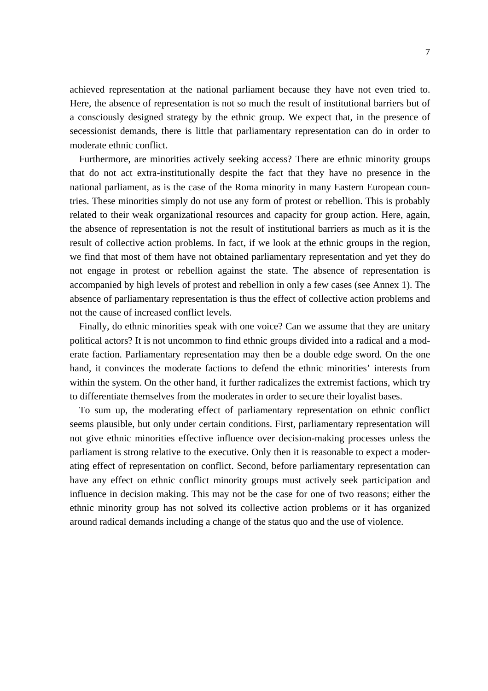achieved representation at the national parliament because they have not even tried to. Here, the absence of representation is not so much the result of institutional barriers but of a consciously designed strategy by the ethnic group. We expect that, in the presence of secessionist demands, there is little that parliamentary representation can do in order to moderate ethnic conflict.

Furthermore, are minorities actively seeking access? There are ethnic minority groups that do not act extra-institutionally despite the fact that they have no presence in the national parliament, as is the case of the Roma minority in many Eastern European countries. These minorities simply do not use any form of protest or rebellion. This is probably related to their weak organizational resources and capacity for group action. Here, again, the absence of representation is not the result of institutional barriers as much as it is the result of collective action problems. In fact, if we look at the ethnic groups in the region, we find that most of them have not obtained parliamentary representation and yet they do not engage in protest or rebellion against the state. The absence of representation is accompanied by high levels of protest and rebellion in only a few cases (see Annex 1). The absence of parliamentary representation is thus the effect of collective action problems and not the cause of increased conflict levels.

Finally, do ethnic minorities speak with one voice? Can we assume that they are unitary political actors? It is not uncommon to find ethnic groups divided into a radical and a moderate faction. Parliamentary representation may then be a double edge sword. On the one hand, it convinces the moderate factions to defend the ethnic minorities' interests from within the system. On the other hand, it further radicalizes the extremist factions, which try to differentiate themselves from the moderates in order to secure their loyalist bases.

To sum up, the moderating effect of parliamentary representation on ethnic conflict seems plausible, but only under certain conditions. First, parliamentary representation will not give ethnic minorities effective influence over decision-making processes unless the parliament is strong relative to the executive. Only then it is reasonable to expect a moderating effect of representation on conflict. Second, before parliamentary representation can have any effect on ethnic conflict minority groups must actively seek participation and influence in decision making. This may not be the case for one of two reasons; either the ethnic minority group has not solved its collective action problems or it has organized around radical demands including a change of the status quo and the use of violence.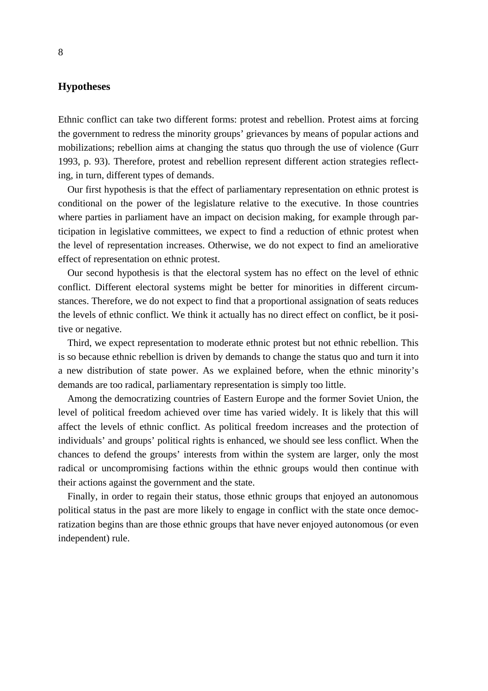## **Hypotheses**

Ethnic conflict can take two different forms: protest and rebellion. Protest aims at forcing the government to redress the minority groups' grievances by means of popular actions and mobilizations; rebellion aims at changing the status quo through the use of violence (Gurr 1993, p. 93). Therefore, protest and rebellion represent different action strategies reflecting, in turn, different types of demands.

Our first hypothesis is that the effect of parliamentary representation on ethnic protest is conditional on the power of the legislature relative to the executive. In those countries where parties in parliament have an impact on decision making, for example through participation in legislative committees, we expect to find a reduction of ethnic protest when the level of representation increases. Otherwise, we do not expect to find an ameliorative effect of representation on ethnic protest.

Our second hypothesis is that the electoral system has no effect on the level of ethnic conflict. Different electoral systems might be better for minorities in different circumstances. Therefore, we do not expect to find that a proportional assignation of seats reduces the levels of ethnic conflict. We think it actually has no direct effect on conflict, be it positive or negative.

Third, we expect representation to moderate ethnic protest but not ethnic rebellion. This is so because ethnic rebellion is driven by demands to change the status quo and turn it into a new distribution of state power. As we explained before, when the ethnic minority's demands are too radical, parliamentary representation is simply too little.

Among the democratizing countries of Eastern Europe and the former Soviet Union, the level of political freedom achieved over time has varied widely. It is likely that this will affect the levels of ethnic conflict. As political freedom increases and the protection of individuals' and groups' political rights is enhanced, we should see less conflict. When the chances to defend the groups' interests from within the system are larger, only the most radical or uncompromising factions within the ethnic groups would then continue with their actions against the government and the state.

Finally, in order to regain their status, those ethnic groups that enjoyed an autonomous political status in the past are more likely to engage in conflict with the state once democratization begins than are those ethnic groups that have never enjoyed autonomous (or even independent) rule.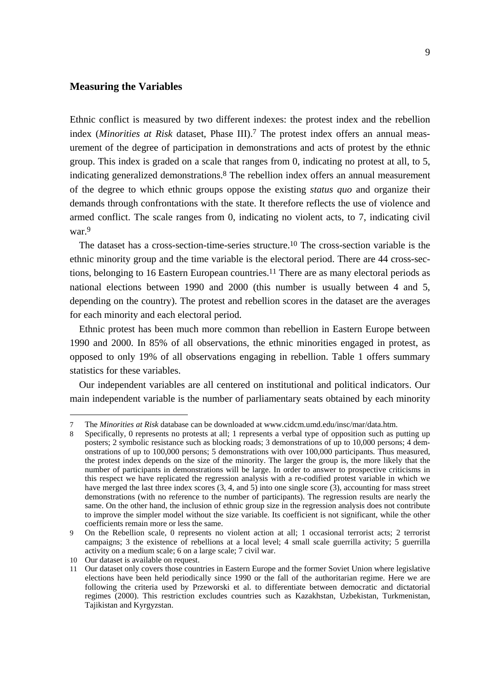## **Measuring the Variables**

Ethnic conflict is measured by two different indexes: the protest index and the rebellion index (*Minorities at Risk* dataset, Phase III)[.7](#page-12-0) The protest index offers an annual measurement of the degree of participation in demonstrations and acts of protest by the ethnic group. This index is graded on a scale that ranges from 0, indicating no protest at all, to 5, indicating generalized demonstrations.[8](#page-12-1) The rebellion index offers an annual measurement of the degree to which ethnic groups oppose the existing *status quo* and organize their demands through confrontations with the state. It therefore reflects the use of violence and armed conflict. The scale ranges from 0, indicating no violent acts, to 7, indicating civil war[.9](#page-12-2) 

The dataset has a cross-section-time-series structure.<sup>10</sup> The cross-section variable is the ethnic minority group and the time variable is the electoral period. There are 44 cross-sections, belonging to 16 Eastern European countries.<sup>11</sup> There are as many electoral periods as national elections between 1990 and 2000 (this number is usually between 4 and 5, depending on the country). The protest and rebellion scores in the dataset are the averages for each minority and each electoral period.

Ethnic protest has been much more common than rebellion in Eastern Europe between 1990 and 2000. In 85% of all observations, the ethnic minorities engaged in protest, as opposed to only 19% of all observations engaging in rebellion. Table 1 offers summary statistics for these variables.

Our independent variables are all centered on institutional and political indicators. Our main independent variable is the number of parliamentary seats obtained by each minority

<span id="page-12-0"></span><sup>7</sup> The *Minorities at Risk* database can be downloaded at www.cidcm.umd.edu/insc/mar/data.htm.

<span id="page-12-1"></span><sup>8</sup> Specifically, 0 represents no protests at all; 1 represents a verbal type of opposition such as putting up posters; 2 symbolic resistance such as blocking roads; 3 demonstrations of up to 10,000 persons; 4 demonstrations of up to 100,000 persons; 5 demonstrations with over 100,000 participants. Thus measured, the protest index depends on the size of the minority. The larger the group is, the more likely that the number of participants in demonstrations will be large. In order to answer to prospective criticisms in this respect we have replicated the regression analysis with a re-codified protest variable in which we have merged the last three index scores  $(3, 4, \text{ and } 5)$  into one single score  $(3)$ , accounting for mass street demonstrations (with no reference to the number of participants). The regression results are nearly the same. On the other hand, the inclusion of ethnic group size in the regression analysis does not contribute to improve the simpler model without the size variable. Its coefficient is not significant, while the other coefficients remain more or less the same.

<span id="page-12-2"></span><sup>9</sup> On the Rebellion scale, 0 represents no violent action at all; 1 occasional terrorist acts; 2 terrorist campaigns; 3 the existence of rebellions at a local level; 4 small scale guerrilla activity; 5 guerrilla activity on a medium scale; 6 on a large scale; 7 civil war.

<span id="page-12-3"></span><sup>10</sup> Our dataset is available on request.

<span id="page-12-4"></span><sup>11</sup> Our dataset only covers those countries in Eastern Europe and the former Soviet Union where legislative elections have been held periodically since 1990 or the fall of the authoritarian regime. Here we are following the criteria used by Przeworski et al. to differentiate between democratic and dictatorial regimes (2000). This restriction excludes countries such as Kazakhstan, Uzbekistan, Turkmenistan, Tajikistan and Kyrgyzstan.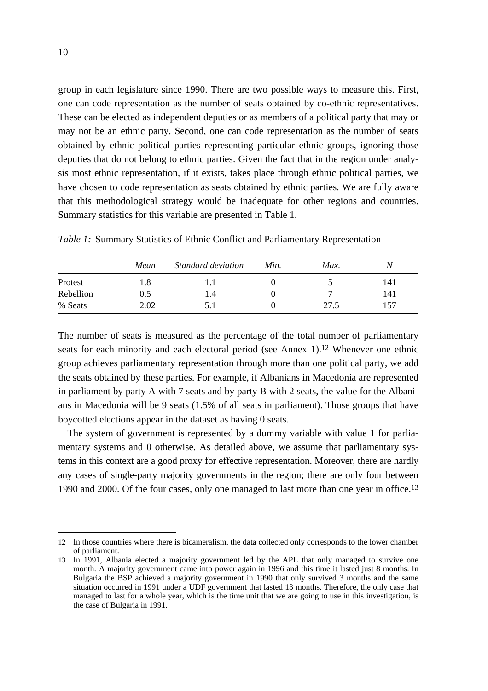group in each legislature since 1990. There are two possible ways to measure this. First, one can code representation as the number of seats obtained by co-ethnic representatives. These can be elected as independent deputies or as members of a political party that may or may not be an ethnic party. Second, one can code representation as the number of seats obtained by ethnic political parties representing particular ethnic groups, ignoring those deputies that do not belong to ethnic parties. Given the fact that in the region under analysis most ethnic representation, if it exists, takes place through ethnic political parties, we have chosen to code representation as seats obtained by ethnic parties. We are fully aware that this methodological strategy would be inadequate for other regions and countries. Summary statistics for this variable are presented in Table 1.

|           | Mean | Standard deviation | Min. | Max. |     |
|-----------|------|--------------------|------|------|-----|
| Protest   | 1.8  | l.l                |      |      | 141 |
| Rebellion | 0.5  | l.4                |      | ┍    | 141 |
| % Seats   | 2.02 | 5.1                |      | 27.5 | 157 |

*Table 1:* Summary Statistics of Ethnic Conflict and Parliamentary Representation

The number of seats is measured as the percentage of the total number of parliamentary seats for each minority and each electoral period (see Annex 1).<sup>12</sup> Whenever one ethnic group achieves parliamentary representation through more than one political party, we add the seats obtained by these parties. For example, if Albanians in Macedonia are represented in parliament by party A with 7 seats and by party B with 2 seats, the value for the Albanians in Macedonia will be 9 seats (1.5% of all seats in parliament). Those groups that have boycotted elections appear in the dataset as having 0 seats.

The system of government is represented by a dummy variable with value 1 for parliamentary systems and 0 otherwise. As detailed above, we assume that parliamentary systems in this context are a good proxy for effective representation. Moreover, there are hardly any cases of single-party majority governments in the region; there are only four between 1990 and 2000. Of the four cases, only one managed to last more than one year in office.[13](#page-13-1)

<span id="page-13-0"></span><sup>12</sup> In those countries where there is bicameralism, the data collected only corresponds to the lower chamber of parliament.

<span id="page-13-1"></span><sup>13</sup> In 1991, Albania elected a majority government led by the APL that only managed to survive one month. A majority government came into power again in 1996 and this time it lasted just 8 months. In Bulgaria the BSP achieved a majority government in 1990 that only survived 3 months and the same situation occurred in 1991 under a UDF government that lasted 13 months. Therefore, the only case that managed to last for a whole year, which is the time unit that we are going to use in this investigation, is the case of Bulgaria in 1991.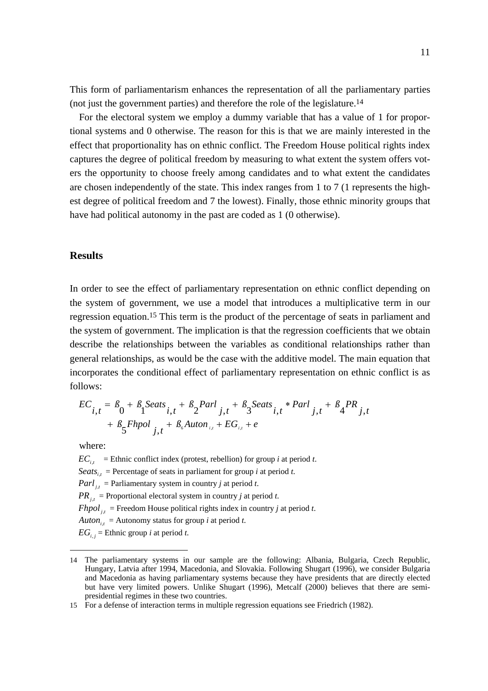This form of parliamentarism enhances the representation of all the parliamentary parties (not just the government parties) and therefore the role of the legislature[.14](#page-14-0)

For the electoral system we employ a dummy variable that has a value of 1 for proportional systems and 0 otherwise. The reason for this is that we are mainly interested in the effect that proportionality has on ethnic conflict. The Freedom House political rights index captures the degree of political freedom by measuring to what extent the system offers voters the opportunity to choose freely among candidates and to what extent the candidates are chosen independently of the state. This index ranges from 1 to 7 (1 represents the highest degree of political freedom and 7 the lowest). Finally, those ethnic minority groups that have had political autonomy in the past are coded as 1 (0 otherwise).

## **Results**

In order to see the effect of parliamentary representation on ethnic conflict depending on the system of government, we use a model that introduces a multiplicative term in our regression equation[.15](#page-14-1) This term is the product of the percentage of seats in parliament and the system of government. The implication is that the regression coefficients that we obtain describe the relationships between the variables as conditional relationships rather than general relationships, as would be the case with the additive model. The main equation that incorporates the conditional effect of parliamentary representation on ethnic conflict is as follows:

$$
EC_{i,t} = \beta_0 + \beta_1 Seats_{i,t} + \beta_2 Parl_{j,t} + \beta_3 Seats_{i,t} * Parl_{j,t} + \beta_4 PR_{j,t} + \beta_5 Fhpol_{j,t} + \beta_6 Auton_{i,t} + EG_{i,t} + e
$$

where:

 $\overline{a}$ 

 $EC_{i,t}$  = Ethnic conflict index (protest, rebellion) for group *i* at period *t*.

*Seats*  $_{i,t}$  = Percentage of seats in parliament for group *i* at period *t*.

*Parl*  $_{i,t}$  = Parliamentary system in country *j* at period *t*.

 $PR_{i,t}$  = Proportional electoral system in country *j* at period *t*.

*Fhpol*  $\mu$  = Freedom House political rights index in country *j* at period *t*.

*Auton*<sub>*i*</sub>, = Autonomy status for group *i* at period *t*.

 $EG_{i,j}$  = Ethnic group *i* at period *t*.

<span id="page-14-0"></span><sup>14</sup> The parliamentary systems in our sample are the following: Albania, Bulgaria, Czech Republic, Hungary, Latvia after 1994, Macedonia, and Slovakia. Following Shugart (1996), we consider Bulgaria and Macedonia as having parliamentary systems because they have presidents that are directly elected but have very limited powers. Unlike Shugart (1996), Metcalf (2000) believes that there are semipresidential regimes in these two countries.

<span id="page-14-1"></span><sup>15</sup> For a defense of interaction terms in multiple regression equations see Friedrich (1982).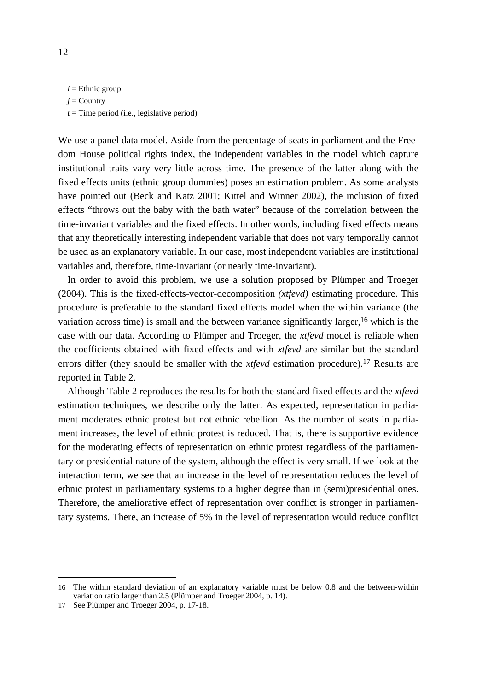$i =$ Ethnic group  $i =$  Country

 $t =$ Time period (i.e., legislative period)

We use a panel data model. Aside from the percentage of seats in parliament and the Freedom House political rights index, the independent variables in the model which capture institutional traits vary very little across time. The presence of the latter along with the fixed effects units (ethnic group dummies) poses an estimation problem. As some analysts have pointed out (Beck and Katz 2001; Kittel and Winner 2002), the inclusion of fixed effects "throws out the baby with the bath water" because of the correlation between the time-invariant variables and the fixed effects. In other words, including fixed effects means that any theoretically interesting independent variable that does not vary temporally cannot be used as an explanatory variable. In our case, most independent variables are institutional variables and, therefore, time-invariant (or nearly time-invariant).

In order to avoid this problem, we use a solution proposed by Plümper and Troeger (2004). This is the fixed-effects-vector-decomposition *(xtfevd)* estimating procedure. This procedure is preferable to the standard fixed effects model when the within variance (the variation across time) is small and the between variance significantly larger,  $16$  which is the case with our data. According to Plümper and Troeger, the *xtfevd* model is reliable when the coefficients obtained with fixed effects and with *xtfevd* are similar but the standard errors differ (they should be smaller with the *xtfevd* estimation procedure).[17](#page-15-1) Results are reported in Table 2.

Although Table 2 reproduces the results for both the standard fixed effects and the *xtfevd* estimation techniques, we describe only the latter. As expected, representation in parliament moderates ethnic protest but not ethnic rebellion. As the number of seats in parliament increases, the level of ethnic protest is reduced. That is, there is supportive evidence for the moderating effects of representation on ethnic protest regardless of the parliamentary or presidential nature of the system, although the effect is very small. If we look at the interaction term, we see that an increase in the level of representation reduces the level of ethnic protest in parliamentary systems to a higher degree than in (semi)presidential ones. Therefore, the ameliorative effect of representation over conflict is stronger in parliamentary systems. There, an increase of 5% in the level of representation would reduce conflict

<span id="page-15-0"></span><sup>16</sup> The within standard deviation of an explanatory variable must be below 0.8 and the between-within variation ratio larger than 2.5 (Plümper and Troeger 2004, p. 14).

<span id="page-15-1"></span><sup>17</sup> See Plümper and Troeger 2004, p. 17-18.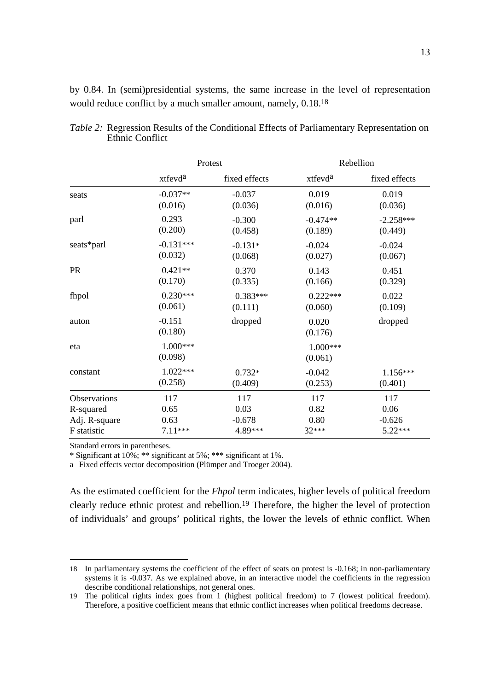by 0.84. In (semi)presidential systems, the same increase in the level of representation would reduce conflict by a much smaller amount, namely, 0.18[.18](#page-16-0)

|               | Protest             |               | Rebellion           |               |  |
|---------------|---------------------|---------------|---------------------|---------------|--|
|               | xtfevd <sup>a</sup> | fixed effects | xtfevd <sup>a</sup> | fixed effects |  |
| seats         | $-0.037**$          | $-0.037$      | 0.019               | 0.019         |  |
|               | (0.016)             | (0.036)       | (0.016)             | (0.036)       |  |
| parl          | 0.293               | $-0.300$      | $-0.474**$          | $-2.258***$   |  |
|               | (0.200)             | (0.458)       | (0.189)             | (0.449)       |  |
| seats*parl    | $-0.131***$         | $-0.131*$     | $-0.024$            | $-0.024$      |  |
|               | (0.032)             | (0.068)       | (0.027)             | (0.067)       |  |
| <b>PR</b>     | $0.421**$           | 0.370         | 0.143               | 0.451         |  |
|               | (0.170)             | (0.335)       | (0.166)             | (0.329)       |  |
| fhpol         | $0.230***$          | $0.383***$    | $0.222***$          | 0.022         |  |
|               | (0.061)             | (0.111)       | (0.060)             | (0.109)       |  |
| auton         | $-0.151$<br>(0.180) | dropped       | 0.020<br>(0.176)    | dropped       |  |
| eta           | 1.000***<br>(0.098) |               | 1.000***<br>(0.061) |               |  |
| constant      | $1.022***$          | $0.732*$      | $-0.042$            | 1.156***      |  |
|               | (0.258)             | (0.409)       | (0.253)             | (0.401)       |  |
| Observations  | 117                 | 117           | 117                 | 117           |  |
| R-squared     | 0.65                | 0.03          | 0.82                | 0.06          |  |
| Adj. R-square | 0.63                | $-0.678$      | 0.80                | $-0.626$      |  |
| F statistic   | 7.11***             | 4.89***       | 32***               | 5.22***       |  |

*Table 2:* Regression Results of the Conditional Effects of Parliamentary Representation on Ethnic Conflict

Standard errors in parentheses.

 $\overline{a}$ 

\* Significant at 10%; \*\* significant at 5%; \*\*\* significant at 1%.

a Fixed effects vector decomposition (Plümper and Troeger 2004).

As the estimated coefficient for the *Fhpol* term indicates, higher levels of political freedom clearly reduce ethnic protest and rebellion.[19](#page-16-1) Therefore, the higher the level of protection of individuals' and groups' political rights, the lower the levels of ethnic conflict. When

<span id="page-16-0"></span><sup>18</sup> In parliamentary systems the coefficient of the effect of seats on protest is -0.168; in non-parliamentary systems it is -0.037. As we explained above, in an interactive model the coefficients in the regression describe conditional relationships, not general ones.

<span id="page-16-1"></span><sup>19</sup> The political rights index goes from 1 (highest political freedom) to 7 (lowest political freedom). Therefore, a positive coefficient means that ethnic conflict increases when political freedoms decrease.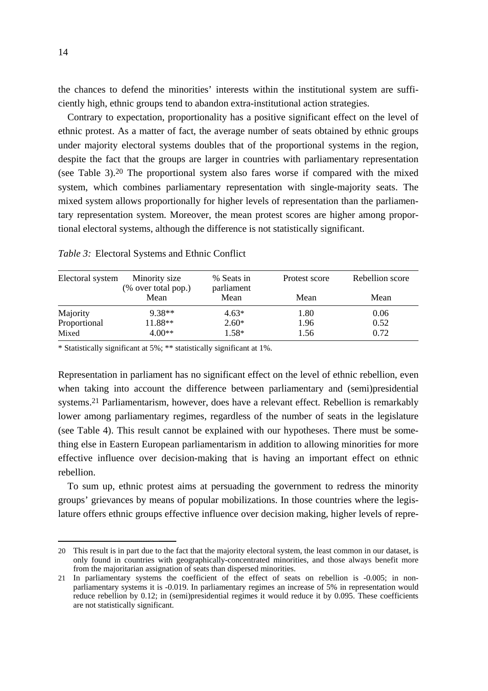the chances to defend the minorities' interests within the institutional system are sufficiently high, ethnic groups tend to abandon extra-institutional action strategies.

Contrary to expectation, proportionality has a positive significant effect on the level of ethnic protest. As a matter of fact, the average number of seats obtained by ethnic groups under majority electoral systems doubles that of the proportional systems in the region, despite the fact that the groups are larger in countries with parliamentary representation (see Table 3).[20](#page-17-0) The proportional system also fares worse if compared with the mixed system, which combines parliamentary representation with single-majority seats. The mixed system allows proportionally for higher levels of representation than the parliamentary representation system. Moreover, the mean protest scores are higher among proportional electoral systems, although the difference is not statistically significant.

| Electoral system | Minority size<br>(% over total pop.) | % Seats in<br>parliament | Protest score | Rebellion score |
|------------------|--------------------------------------|--------------------------|---------------|-----------------|
|                  | Mean                                 | Mean                     | Mean          | Mean            |
| Majority         | $9.38**$                             | $4.63*$                  | 1.80          | 0.06            |
| Proportional     | 11.88**                              | $2.60*$                  | 1.96          | 0.52            |
| Mixed            | $4.00**$                             | $1.58*$                  | 1.56          | 0.72            |

*Table 3:* Electoral Systems and Ethnic Conflict

\* Statistically significant at 5%; \*\* statistically significant at 1%.

Representation in parliament has no significant effect on the level of ethnic rebellion, even when taking into account the difference between parliamentary and (semi)presidential systems.[21](#page-17-1) Parliamentarism, however, does have a relevant effect. Rebellion is remarkably lower among parliamentary regimes, regardless of the number of seats in the legislature (see Table 4). This result cannot be explained with our hypotheses. There must be something else in Eastern European parliamentarism in addition to allowing minorities for more effective influence over decision-making that is having an important effect on ethnic rebellion.

To sum up, ethnic protest aims at persuading the government to redress the minority groups' grievances by means of popular mobilizations. In those countries where the legislature offers ethnic groups effective influence over decision making, higher levels of repre-

<span id="page-17-0"></span><sup>20</sup> This result is in part due to the fact that the majority electoral system, the least common in our dataset, is only found in countries with geographically-concentrated minorities, and those always benefit more from the majoritarian assignation of seats than dispersed minorities.

<span id="page-17-1"></span><sup>21</sup> In parliamentary systems the coefficient of the effect of seats on rebellion is -0.005; in nonparliamentary systems it is -0.019. In parliamentary regimes an increase of 5% in representation would reduce rebellion by 0.12; in (semi)presidential regimes it would reduce it by 0.095. These coefficients are not statistically significant.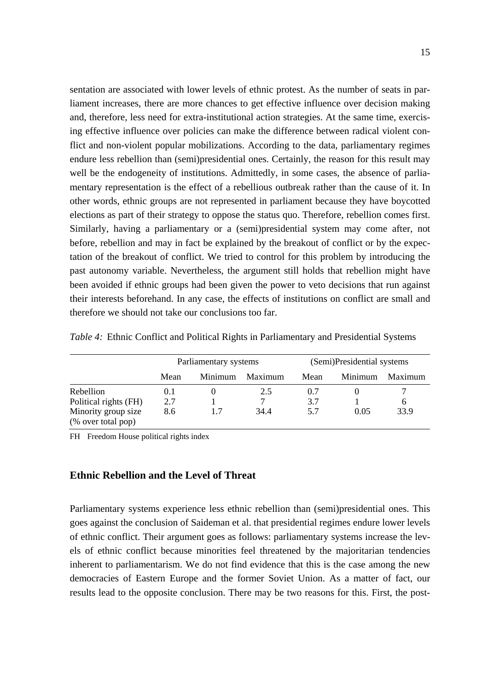sentation are associated with lower levels of ethnic protest. As the number of seats in parliament increases, there are more chances to get effective influence over decision making and, therefore, less need for extra-institutional action strategies. At the same time, exercising effective influence over policies can make the difference between radical violent conflict and non-violent popular mobilizations. According to the data, parliamentary regimes endure less rebellion than (semi)presidential ones. Certainly, the reason for this result may well be the endogeneity of institutions. Admittedly, in some cases, the absence of parliamentary representation is the effect of a rebellious outbreak rather than the cause of it. In other words, ethnic groups are not represented in parliament because they have boycotted elections as part of their strategy to oppose the status quo. Therefore, rebellion comes first. Similarly, having a parliamentary or a (semi)presidential system may come after, not before, rebellion and may in fact be explained by the breakout of conflict or by the expectation of the breakout of conflict. We tried to control for this problem by introducing the past autonomy variable. Nevertheless, the argument still holds that rebellion might have been avoided if ethnic groups had been given the power to veto decisions that run against their interests beforehand. In any case, the effects of institutions on conflict are small and therefore we should not take our conclusions too far.

|                                                                                 | Parliamentary systems |         | (Semi)Presidential systems |                   |         |           |
|---------------------------------------------------------------------------------|-----------------------|---------|----------------------------|-------------------|---------|-----------|
|                                                                                 | Mean                  | Minimum | Maximum                    | Mean              | Minimum | Maximum   |
| Rebellion<br>Political rights (FH)<br>Minority group size<br>(% over total pop) | 0.1<br>2.7<br>8.6     | 1.7     | 2.5<br>34.4                | 0.7<br>3.7<br>5.7 | 0.05    | 6<br>33.9 |

*Table 4:* Ethnic Conflict and Political Rights in Parliamentary and Presidential Systems

FH Freedom House political rights index

## **Ethnic Rebellion and the Level of Threat**

Parliamentary systems experience less ethnic rebellion than (semi)presidential ones. This goes against the conclusion of Saideman et al. that presidential regimes endure lower levels of ethnic conflict. Their argument goes as follows: parliamentary systems increase the levels of ethnic conflict because minorities feel threatened by the majoritarian tendencies inherent to parliamentarism. We do not find evidence that this is the case among the new democracies of Eastern Europe and the former Soviet Union. As a matter of fact, our results lead to the opposite conclusion. There may be two reasons for this. First, the post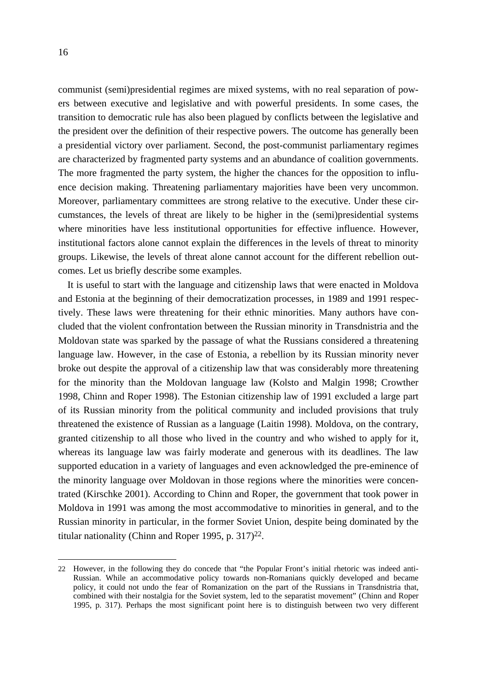communist (semi)presidential regimes are mixed systems, with no real separation of powers between executive and legislative and with powerful presidents. In some cases, the transition to democratic rule has also been plagued by conflicts between the legislative and the president over the definition of their respective powers. The outcome has generally been a presidential victory over parliament. Second, the post-communist parliamentary regimes are characterized by fragmented party systems and an abundance of coalition governments. The more fragmented the party system, the higher the chances for the opposition to influence decision making. Threatening parliamentary majorities have been very uncommon. Moreover, parliamentary committees are strong relative to the executive. Under these circumstances, the levels of threat are likely to be higher in the (semi)presidential systems where minorities have less institutional opportunities for effective influence. However, institutional factors alone cannot explain the differences in the levels of threat to minority groups. Likewise, the levels of threat alone cannot account for the different rebellion outcomes. Let us briefly describe some examples.

It is useful to start with the language and citizenship laws that were enacted in Moldova and Estonia at the beginning of their democratization processes, in 1989 and 1991 respectively. These laws were threatening for their ethnic minorities. Many authors have concluded that the violent confrontation between the Russian minority in Transdnistria and the Moldovan state was sparked by the passage of what the Russians considered a threatening language law. However, in the case of Estonia, a rebellion by its Russian minority never broke out despite the approval of a citizenship law that was considerably more threatening for the minority than the Moldovan language law (Kolsto and Malgin 1998; Crowther 1998, Chinn and Roper 1998). The Estonian citizenship law of 1991 excluded a large part of its Russian minority from the political community and included provisions that truly threatened the existence of Russian as a language (Laitin 1998). Moldova, on the contrary, granted citizenship to all those who lived in the country and who wished to apply for it, whereas its language law was fairly moderate and generous with its deadlines. The law supported education in a variety of languages and even acknowledged the pre-eminence of the minority language over Moldovan in those regions where the minorities were concentrated (Kirschke 2001). According to Chinn and Roper, the government that took power in Moldova in 1991 was among the most accommodative to minorities in general, and to the Russian minority in particular, in the former Soviet Union, despite being dominated by the titular nationality (Chinn and Roper 1995, p. 317)<sup>22</sup>.

<span id="page-19-0"></span><sup>22</sup> However, in the following they do concede that "the Popular Front's initial rhetoric was indeed anti-Russian. While an accommodative policy towards non-Romanians quickly developed and became policy, it could not undo the fear of Romanization on the part of the Russians in Transdnistria that, combined with their nostalgia for the Soviet system, led to the separatist movement" (Chinn and Roper 1995, p. 317). Perhaps the most significant point here is to distinguish between two very different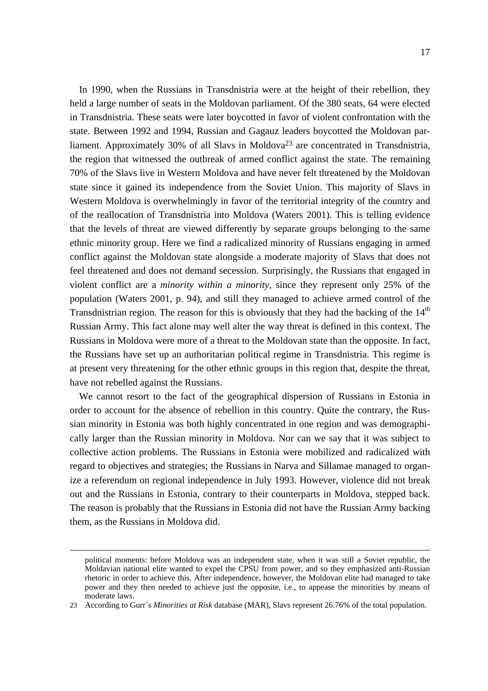In 1990, when the Russians in Transdnistria were at the height of their rebellion, they held a large number of seats in the Moldovan parliament. Of the 380 seats, 64 were elected in Transdnistria. These seats were later boycotted in favor of violent confrontation with the state. Between 1992 and 1994, Russian and Gagauz leaders boycotted the Moldovan parliament. Approximately 30% of all Slavs in Moldova<sup>23</sup> are concentrated in Transdnistria, the region that witnessed the outbreak of armed conflict against the state. The remaining 70% of the Slavs live in Western Moldova and have never felt threatened by the Moldovan state since it gained its independence from the Soviet Union. This majority of Slavs in Western Moldova is overwhelmingly in favor of the territorial integrity of the country and of the reallocation of Transdnistria into Moldova (Waters 2001). This is telling evidence that the levels of threat are viewed differently by separate groups belonging to the same ethnic minority group. Here we find a radicalized minority of Russians engaging in armed conflict against the Moldovan state alongside a moderate majority of Slavs that does not feel threatened and does not demand secession. Surprisingly, the Russians that engaged in violent conflict are a *minority within a minority*, since they represent only 25% of the population (Waters 2001, p. 94), and still they managed to achieve armed control of the Transdnistrian region. The reason for this is obviously that they had the backing of the  $14<sup>th</sup>$ Russian Army. This fact alone may well alter the way threat is defined in this context. The Russians in Moldova were more of a threat to the Moldovan state than the opposite. In fact, the Russians have set up an authoritarian political regime in Transdnistria. This regime is at present very threatening for the other ethnic groups in this region that, despite the threat, have not rebelled against the Russians.

We cannot resort to the fact of the geographical dispersion of Russians in Estonia in order to account for the absence of rebellion in this country. Quite the contrary, the Russian minority in Estonia was both highly concentrated in one region and was demographically larger than the Russian minority in Moldova. Nor can we say that it was subject to collective action problems. The Russians in Estonia were mobilized and radicalized with regard to objectives and strategies; the Russians in Narva and Sillamae managed to organize a referendum on regional independence in July 1993. However, violence did not break out and the Russians in Estonia, contrary to their counterparts in Moldova, stepped back. The reason is probably that the Russians in Estonia did not have the Russian Army backing them, as the Russians in Moldova did.

political moments: before Moldova was an independent state, when it was still a Soviet republic, the Moldavian national elite wanted to expel the CPSU from power, and so they emphasized anti-Russian rhetoric in order to achieve this. After independence, however, the Moldovan elite had managed to take power and they then needed to achieve just the opposite, i.e., to appease the minorities by means of moderate laws.

<span id="page-20-0"></span><sup>23</sup> According to Gurr´s *Minorities at Risk* database (MAR), Slavs represent 26.76% of the total population.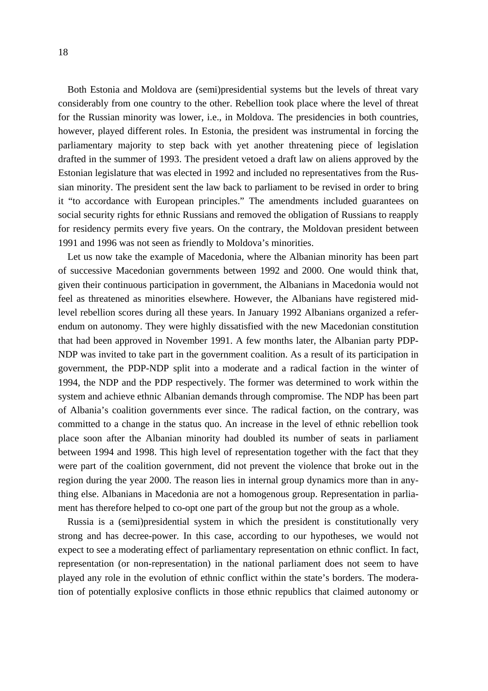Both Estonia and Moldova are (semi)presidential systems but the levels of threat vary considerably from one country to the other. Rebellion took place where the level of threat for the Russian minority was lower, i.e., in Moldova. The presidencies in both countries, however, played different roles. In Estonia, the president was instrumental in forcing the parliamentary majority to step back with yet another threatening piece of legislation drafted in the summer of 1993. The president vetoed a draft law on aliens approved by the Estonian legislature that was elected in 1992 and included no representatives from the Russian minority. The president sent the law back to parliament to be revised in order to bring it "to accordance with European principles." The amendments included guarantees on social security rights for ethnic Russians and removed the obligation of Russians to reapply for residency permits every five years. On the contrary, the Moldovan president between 1991 and 1996 was not seen as friendly to Moldova's minorities.

Let us now take the example of Macedonia, where the Albanian minority has been part of successive Macedonian governments between 1992 and 2000. One would think that, given their continuous participation in government, the Albanians in Macedonia would not feel as threatened as minorities elsewhere. However, the Albanians have registered midlevel rebellion scores during all these years. In January 1992 Albanians organized a referendum on autonomy. They were highly dissatisfied with the new Macedonian constitution that had been approved in November 1991. A few months later, the Albanian party PDP-NDP was invited to take part in the government coalition. As a result of its participation in government, the PDP-NDP split into a moderate and a radical faction in the winter of 1994, the NDP and the PDP respectively. The former was determined to work within the system and achieve ethnic Albanian demands through compromise. The NDP has been part of Albania's coalition governments ever since. The radical faction, on the contrary, was committed to a change in the status quo. An increase in the level of ethnic rebellion took place soon after the Albanian minority had doubled its number of seats in parliament between 1994 and 1998. This high level of representation together with the fact that they were part of the coalition government, did not prevent the violence that broke out in the region during the year 2000. The reason lies in internal group dynamics more than in anything else. Albanians in Macedonia are not a homogenous group. Representation in parliament has therefore helped to co-opt one part of the group but not the group as a whole.

Russia is a (semi)presidential system in which the president is constitutionally very strong and has decree-power. In this case, according to our hypotheses, we would not expect to see a moderating effect of parliamentary representation on ethnic conflict. In fact, representation (or non-representation) in the national parliament does not seem to have played any role in the evolution of ethnic conflict within the state's borders. The moderation of potentially explosive conflicts in those ethnic republics that claimed autonomy or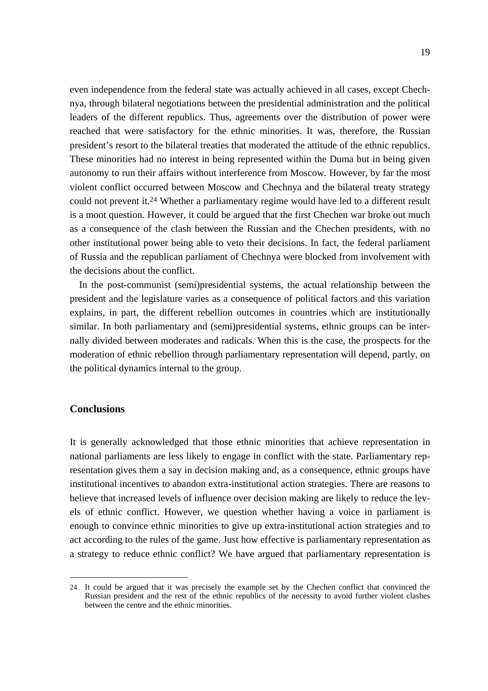even independence from the federal state was actually achieved in all cases, except Chechnya, through bilateral negotiations between the presidential administration and the political leaders of the different republics. Thus, agreements over the distribution of power were reached that were satisfactory for the ethnic minorities. It was, therefore, the Russian president's resort to the bilateral treaties that moderated the attitude of the ethnic republics. These minorities had no interest in being represented within the Duma but in being given autonomy to run their affairs without interference from Moscow. However, by far the most violent conflict occurred between Moscow and Chechnya and the bilateral treaty strategy could not prevent it.[24](#page-22-0) Whether a parliamentary regime would have led to a different result is a moot question. However, it could be argued that the first Chechen war broke out much as a consequence of the clash between the Russian and the Chechen presidents, with no other institutional power being able to veto their decisions. In fact, the federal parliament of Russia and the republican parliament of Chechnya were blocked from involvement with the decisions about the conflict.

In the post-communist (semi)presidential systems, the actual relationship between the president and the legislature varies as a consequence of political factors and this variation explains, in part, the different rebellion outcomes in countries which are institutionally similar. In both parliamentary and (semi)presidential systems, ethnic groups can be internally divided between moderates and radicals. When this is the case, the prospects for the moderation of ethnic rebellion through parliamentary representation will depend, partly, on the political dynamics internal to the group.

## **Conclusions**

 $\overline{a}$ 

It is generally acknowledged that those ethnic minorities that achieve representation in national parliaments are less likely to engage in conflict with the state. Parliamentary representation gives them a say in decision making and, as a consequence, ethnic groups have institutional incentives to abandon extra-institutional action strategies. There are reasons to believe that increased levels of influence over decision making are likely to reduce the levels of ethnic conflict. However, we question whether having a voice in parliament is enough to convince ethnic minorities to give up extra-institutional action strategies and to act according to the rules of the game. Just how effective is parliamentary representation as a strategy to reduce ethnic conflict? We have argued that parliamentary representation is

<span id="page-22-0"></span><sup>24</sup> It could be argued that it was precisely the example set by the Chechen conflict that convinced the Russian president and the rest of the ethnic republics of the necessity to avoid further violent clashes between the centre and the ethnic minorities.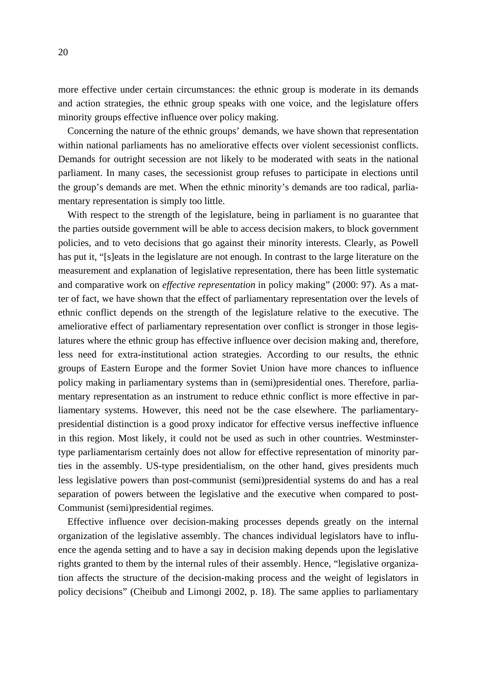more effective under certain circumstances: the ethnic group is moderate in its demands and action strategies, the ethnic group speaks with one voice, and the legislature offers minority groups effective influence over policy making.

Concerning the nature of the ethnic groups' demands, we have shown that representation within national parliaments has no ameliorative effects over violent secessionist conflicts. Demands for outright secession are not likely to be moderated with seats in the national parliament. In many cases, the secessionist group refuses to participate in elections until the group's demands are met. When the ethnic minority's demands are too radical, parliamentary representation is simply too little.

With respect to the strength of the legislature, being in parliament is no guarantee that the parties outside government will be able to access decision makers, to block government policies, and to veto decisions that go against their minority interests. Clearly, as Powell has put it, "[s]eats in the legislature are not enough. In contrast to the large literature on the measurement and explanation of legislative representation, there has been little systematic and comparative work on *effective representation* in policy making" (2000: 97). As a matter of fact, we have shown that the effect of parliamentary representation over the levels of ethnic conflict depends on the strength of the legislature relative to the executive. The ameliorative effect of parliamentary representation over conflict is stronger in those legislatures where the ethnic group has effective influence over decision making and, therefore, less need for extra-institutional action strategies. According to our results, the ethnic groups of Eastern Europe and the former Soviet Union have more chances to influence policy making in parliamentary systems than in (semi)presidential ones. Therefore, parliamentary representation as an instrument to reduce ethnic conflict is more effective in parliamentary systems. However, this need not be the case elsewhere. The parliamentarypresidential distinction is a good proxy indicator for effective versus ineffective influence in this region. Most likely, it could not be used as such in other countries. Westminstertype parliamentarism certainly does not allow for effective representation of minority parties in the assembly. US-type presidentialism, on the other hand, gives presidents much less legislative powers than post-communist (semi)presidential systems do and has a real separation of powers between the legislative and the executive when compared to post-Communist (semi)presidential regimes.

Effective influence over decision-making processes depends greatly on the internal organization of the legislative assembly. The chances individual legislators have to influence the agenda setting and to have a say in decision making depends upon the legislative rights granted to them by the internal rules of their assembly. Hence, "legislative organization affects the structure of the decision-making process and the weight of legislators in policy decisions" (Cheibub and Limongi 2002, p. 18). The same applies to parliamentary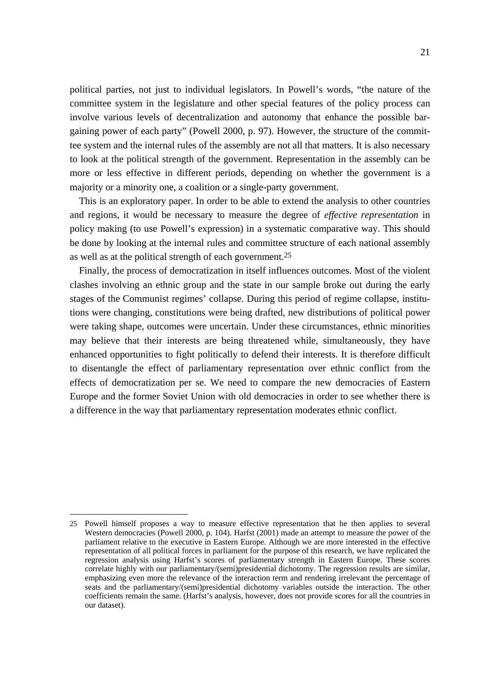political parties, not just to individual legislators. In Powell's words, "the nature of the committee system in the legislature and other special features of the policy process can involve various levels of decentralization and autonomy that enhance the possible bargaining power of each party" (Powell 2000, p. 97). However, the structure of the committee system and the internal rules of the assembly are not all that matters. It is also necessary to look at the political strength of the government. Representation in the assembly can be more or less effective in different periods, depending on whether the government is a majority or a minority one, a coalition or a single-party government.

This is an exploratory paper. In order to be able to extend the analysis to other countries and regions, it would be necessary to measure the degree of *effective representation* in policy making (to use Powell's expression) in a systematic comparative way. This should be done by looking at the internal rules and committee structure of each national assembly as well as at the political strength of each government[.25](#page-24-0) 

Finally, the process of democratization in itself influences outcomes. Most of the violent clashes involving an ethnic group and the state in our sample broke out during the early stages of the Communist regimes' collapse. During this period of regime collapse, institutions were changing, constitutions were being drafted, new distributions of political power were taking shape, outcomes were uncertain. Under these circumstances, ethnic minorities may believe that their interests are being threatened while, simultaneously, they have enhanced opportunities to fight politically to defend their interests. It is therefore difficult to disentangle the effect of parliamentary representation over ethnic conflict from the effects of democratization per se. We need to compare the new democracies of Eastern Europe and the former Soviet Union with old democracies in order to see whether there is a difference in the way that parliamentary representation moderates ethnic conflict.

<span id="page-24-0"></span><sup>25</sup> Powell himself proposes a way to measure effective representation that he then applies to several Western democracies (Powell 2000, p. 104). Harfst (2001) made an attempt to measure the power of the parliament relative to the executive in Eastern Europe. Although we are more interested in the effective representation of all political forces in parliament for the purpose of this research, we have replicated the regression analysis using Harfst's scores of parliamentary strength in Eastern Europe. These scores correlate highly with our parliamentary/(semi)presidential dichotomy. The regression results are similar, emphasizing even more the relevance of the interaction term and rendering irrelevant the percentage of seats and the parliamentary/(semi)presidential dichotomy variables outside the interaction. The other coefficients remain the same. (Harfst's analysis, however, does not provide scores for all the countries in our dataset).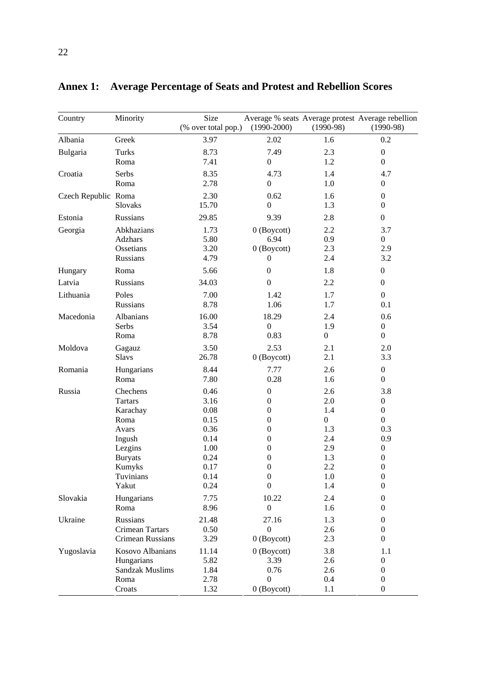| Country             | Minority                | Size<br>(% over total pop.) | $(1990 - 2000)$  | $(1990-98)$      | Average % seats Average protest Average rebellion<br>$(1990-98)$ |
|---------------------|-------------------------|-----------------------------|------------------|------------------|------------------------------------------------------------------|
| Albania             | Greek                   | 3.97                        | 2.02             | 1.6              | 0.2                                                              |
| Bulgaria            | <b>Turks</b>            | 8.73                        | 7.49             | 2.3              | $\boldsymbol{0}$                                                 |
|                     | Roma                    | 7.41                        | $\boldsymbol{0}$ | 1.2              | $\mathbf{0}$                                                     |
| Croatia             | Serbs                   | 8.35                        | 4.73             | 1.4              | 4.7                                                              |
|                     | Roma                    | 2.78                        | $\boldsymbol{0}$ | 1.0              | $\boldsymbol{0}$                                                 |
| Czech Republic Roma |                         | 2.30                        | 0.62             | 1.6              | $\boldsymbol{0}$                                                 |
|                     | Slovaks                 | 15.70                       | $\boldsymbol{0}$ | 1.3              | $\overline{0}$                                                   |
| Estonia             | Russians                | 29.85                       | 9.39             | 2.8              | $\boldsymbol{0}$                                                 |
| Georgia             | Abkhazians              | 1.73                        | $0$ (Boycott)    | 2.2              | 3.7                                                              |
|                     | Adzhars                 | 5.80                        | 6.94             | 0.9              | $\overline{0}$                                                   |
|                     | Ossetians               | 3.20                        | $0$ (Boycott)    | 2.3              | 2.9                                                              |
|                     | Russians                | 4.79                        | 0                | 2.4              | 3.2                                                              |
| Hungary             | Roma                    | 5.66                        | $\boldsymbol{0}$ | 1.8              | $\boldsymbol{0}$                                                 |
| Latvia              | Russians                | 34.03                       | $\boldsymbol{0}$ | 2.2              | $\overline{0}$                                                   |
| Lithuania           | Poles                   | 7.00                        | 1.42             | 1.7              | $\overline{0}$                                                   |
|                     | Russians                | 8.78                        | 1.06             | 1.7              | 0.1                                                              |
| Macedonia           | Albanians               | 16.00                       | 18.29            | 2.4              | 0.6                                                              |
|                     | Serbs                   | 3.54                        | $\boldsymbol{0}$ | 1.9              | $\boldsymbol{0}$                                                 |
|                     | Roma                    | 8.78                        | 0.83             | $\boldsymbol{0}$ | $\boldsymbol{0}$                                                 |
| Moldova             | Gagauz                  | 3.50                        | 2.53             | 2.1              | 2.0                                                              |
|                     | <b>Slavs</b>            | 26.78                       | $0$ (Boycott)    | 2.1              | 3.3                                                              |
| Romania             | Hungarians              | 8.44                        | 7.77             | 2.6              | $\boldsymbol{0}$                                                 |
|                     | Roma                    | 7.80                        | 0.28             | 1.6              | $\overline{0}$                                                   |
| Russia              | Chechens                | 0.46                        | $\boldsymbol{0}$ | 2.6              | 3.8                                                              |
|                     | <b>Tartars</b>          | 3.16                        | $\boldsymbol{0}$ | 2.0              | $\boldsymbol{0}$                                                 |
|                     | Karachay                | 0.08                        | $\boldsymbol{0}$ | 1.4              | $\boldsymbol{0}$                                                 |
|                     | Roma                    | 0.15                        | $\boldsymbol{0}$ | $\boldsymbol{0}$ | $\overline{0}$                                                   |
|                     | Avars                   | 0.36                        | $\overline{0}$   | 1.3              | 0.3                                                              |
|                     | Ingush                  | 0.14                        | $\overline{0}$   | 2.4              | 0.9                                                              |
|                     | Lezgins                 | 1.00                        | $\boldsymbol{0}$ | 2.9              | $\boldsymbol{0}$                                                 |
|                     | <b>Buryats</b>          | 0.24                        | $\boldsymbol{0}$ | 1.3              | $\boldsymbol{0}$                                                 |
|                     | Kumyks                  | 0.17                        | $\boldsymbol{0}$ | 2.2              | $\boldsymbol{0}$                                                 |
|                     | Tuvinians               | 0.14                        | $\boldsymbol{0}$ | $1.0\,$          | $\boldsymbol{0}$                                                 |
|                     | Yakut                   | 0.24                        | $\boldsymbol{0}$ | 1.4              | $\boldsymbol{0}$                                                 |
| Slovakia            | Hungarians              | 7.75                        | 10.22            | 2.4              | $\boldsymbol{0}$                                                 |
|                     | Roma                    | 8.96                        | $\boldsymbol{0}$ | 1.6              | $\theta$                                                         |
| Ukraine             | Russians                | 21.48                       | 27.16            | 1.3              | $\overline{0}$                                                   |
|                     | Crimean Tartars         | 0.50                        | $\boldsymbol{0}$ | 2.6              | $\overline{0}$                                                   |
|                     | Crimean Russians        | 3.29                        | 0 (Boycott)      | 2.3              | $\overline{0}$                                                   |
| Yugoslavia          | <b>Kosovo Albanians</b> | 11.14                       | $0$ (Boycott)    | 3.8              | 1.1                                                              |
|                     | Hungarians              | 5.82                        | 3.39             | 2.6              | $\boldsymbol{0}$                                                 |
|                     | <b>Sandzak Muslims</b>  | 1.84                        | 0.76             | 2.6              | $\boldsymbol{0}$                                                 |
|                     | Roma                    | 2.78                        | $\overline{0}$   | 0.4              | $\theta$                                                         |
|                     | Croats                  | 1.32                        | $0$ (Boycott)    | 1.1              | $\overline{0}$                                                   |

**Annex 1: Average Percentage of Seats and Protest and Rebellion Scores**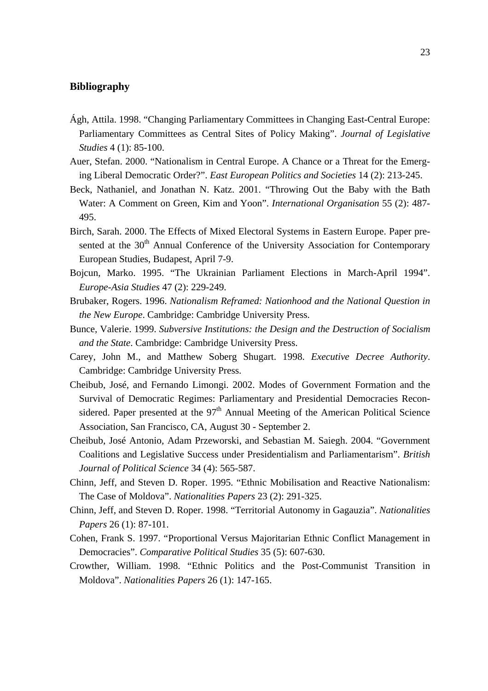## **Bibliography**

- Ágh, Attila. 1998. "Changing Parliamentary Committees in Changing East-Central Europe: Parliamentary Committees as Central Sites of Policy Making". *Journal of Legislative Studies* 4 (1): 85-100.
- Auer, Stefan. 2000. "Nationalism in Central Europe. A Chance or a Threat for the Emerging Liberal Democratic Order?". *East European Politics and Societies* 14 (2): 213-245.
- Beck, Nathaniel, and Jonathan N. Katz. 2001. "Throwing Out the Baby with the Bath Water: A Comment on Green, Kim and Yoon". *International Organisation* 55 (2): 487- 495.
- Birch, Sarah. 2000. The Effects of Mixed Electoral Systems in Eastern Europe. Paper presented at the 30<sup>th</sup> Annual Conference of the University Association for Contemporary European Studies, Budapest, April 7-9.
- Bojcun, Marko. 1995. "The Ukrainian Parliament Elections in March-April 1994". *Europe-Asia Studies* 47 (2): 229-249.
- Brubaker, Rogers. 1996. *Nationalism Reframed: Nationhood and the National Question in the New Europe*. Cambridge: Cambridge University Press.
- Bunce, Valerie. 1999. *Subversive Institutions: the Design and the Destruction of Socialism and the State*. Cambridge: Cambridge University Press.
- Carey, John M., and Matthew Soberg Shugart. 1998. *Executive Decree Authority*. Cambridge: Cambridge University Press.
- Cheibub, José, and Fernando Limongi. 2002. Modes of Government Formation and the Survival of Democratic Regimes: Parliamentary and Presidential Democracies Reconsidered. Paper presented at the  $97<sup>th</sup>$  Annual Meeting of the American Political Science Association, San Francisco, CA, August 30 - September 2.
- Cheibub, José Antonio, Adam Przeworski, and Sebastian M. Saiegh. 2004. "Government Coalitions and Legislative Success under Presidentialism and Parliamentarism". *British Journal of Political Science* 34 (4): 565-587.
- Chinn, Jeff, and Steven D. Roper. 1995. "Ethnic Mobilisation and Reactive Nationalism: The Case of Moldova". *Nationalities Papers* 23 (2): 291-325.
- Chinn, Jeff, and Steven D. Roper. 1998. "Territorial Autonomy in Gagauzia". *Nationalities Papers* 26 (1): 87-101.
- Cohen, Frank S. 1997. "Proportional Versus Majoritarian Ethnic Conflict Management in Democracies". *Comparative Political Studies* 35 (5): 607-630.
- Crowther, William. 1998. "Ethnic Politics and the Post-Communist Transition in Moldova". *Nationalities Papers* 26 (1): 147-165.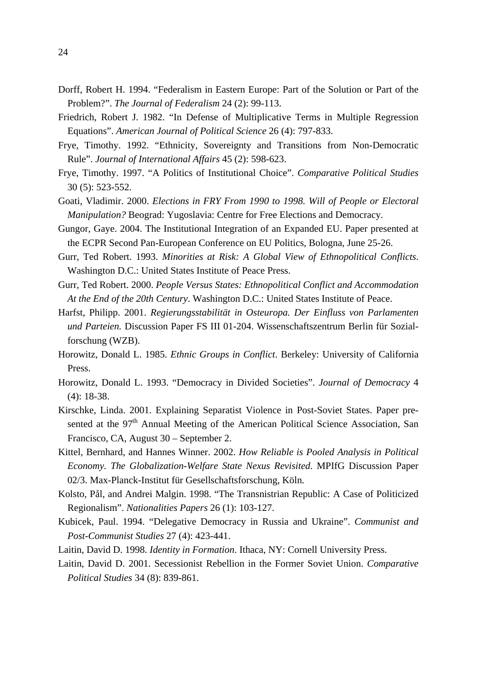- Dorff, Robert H. 1994. "Federalism in Eastern Europe: Part of the Solution or Part of the Problem?". *The Journal of Federalism* 24 (2): 99-113.
- Friedrich, Robert J. 1982. "In Defense of Multiplicative Terms in Multiple Regression Equations". *American Journal of Political Science* 26 (4): 797-833.
- Frye, Timothy. 1992. "Ethnicity, Sovereignty and Transitions from Non-Democratic Rule". *Journal of International Affairs* 45 (2): 598-623.
- Frye, Timothy. 1997. "A Politics of Institutional Choice". *Comparative Political Studies* 30 (5): 523-552.
- Goati, Vladimir. 2000. *Elections in FRY From 1990 to 1998. Will of People or Electoral Manipulation?* Beograd: Yugoslavia: Centre for Free Elections and Democracy.
- Gungor, Gaye. 2004. The Institutional Integration of an Expanded EU. Paper presented at the ECPR Second Pan-European Conference on EU Politics, Bologna, June 25-26.
- Gurr, Ted Robert. 1993. *Minorities at Risk: A Global View of Ethnopolitical Conflicts*. Washington D.C.: United States Institute of Peace Press.
- Gurr, Ted Robert. 2000. *People Versus States: Ethnopolitical Conflict and Accommodation At the End of the 20th Century*. Washington D.C.: United States Institute of Peace.
- Harfst, Philipp. 2001. *Regierungsstabilität in Osteuropa. Der Einfluss von Parlamenten und Parteien.* Discussion Paper FS III 01-204. Wissenschaftszentrum Berlin für Sozialforschung (WZB).
- Horowitz, Donald L. 1985. *Ethnic Groups in Conflict*. Berkeley: University of California Press.
- Horowitz, Donald L. 1993. "Democracy in Divided Societies". *Journal of Democracy* 4 (4): 18-38.
- Kirschke, Linda. 2001. Explaining Separatist Violence in Post-Soviet States. Paper presented at the 97<sup>th</sup> Annual Meeting of the American Political Science Association, San Francisco, CA, August 30 – September 2.
- Kittel, Bernhard, and Hannes Winner. 2002. *How Reliable is Pooled Analysis in Political Economy. The Globalization-Welfare State Nexus Revisited*. MPIfG Discussion Paper 02/3. Max-Planck-Institut für Gesellschaftsforschung, Köln.
- Kolsto, Pål, and Andrei Malgin. 1998. "The Transnistrian Republic: A Case of Politicized Regionalism". *Nationalities Papers* 26 (1): 103-127.
- Kubicek, Paul. 1994. "Delegative Democracy in Russia and Ukraine". *Communist and Post-Communist Studies* 27 (4): 423-441.
- Laitin, David D. 1998. *Identity in Formation*. Ithaca, NY: Cornell University Press.
- Laitin, David D. 2001. Secessionist Rebellion in the Former Soviet Union. *Comparative Political Studies* 34 (8): 839-861.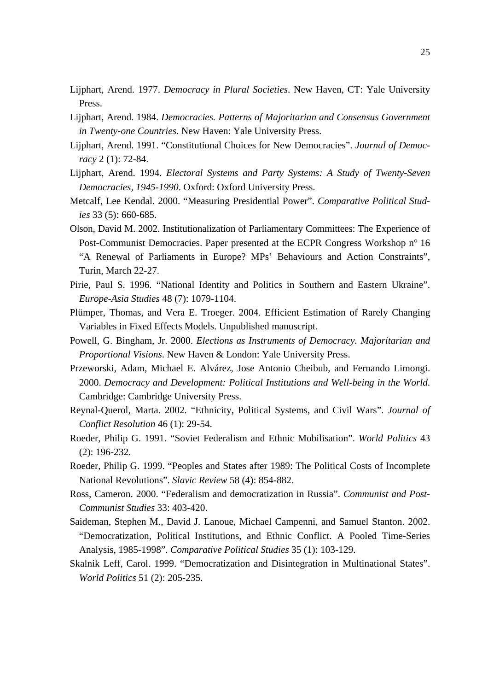- Lijphart, Arend. 1977. *Democracy in Plural Societies*. New Haven, CT: Yale University Press.
- Lijphart, Arend. 1984. *Democracies. Patterns of Majoritarian and Consensus Government in Twenty-one Countries*. New Haven: Yale University Press.
- Lijphart, Arend. 1991. "Constitutional Choices for New Democracies". *Journal of Democracy* 2 (1): 72-84.
- Lijphart, Arend. 1994. *Electoral Systems and Party Systems: A Study of Twenty-Seven Democracies, 1945-1990*. Oxford: Oxford University Press.
- Metcalf, Lee Kendal. 2000. "Measuring Presidential Power". *Comparative Political Studies* 33 (5): 660-685.
- Olson, David M. 2002. Institutionalization of Parliamentary Committees: The Experience of Post-Communist Democracies. Paper presented at the ECPR Congress Workshop n° 16 "A Renewal of Parliaments in Europe? MPs' Behaviours and Action Constraints", Turin, March 22-27.
- Pirie, Paul S. 1996. "National Identity and Politics in Southern and Eastern Ukraine". *Europe-Asia Studies* 48 (7): 1079-1104.
- Plümper, Thomas, and Vera E. Troeger. 2004. Efficient Estimation of Rarely Changing Variables in Fixed Effects Models. Unpublished manuscript.
- Powell, G. Bingham, Jr. 2000. *Elections as Instruments of Democracy. Majoritarian and Proportional Visions*. New Haven & London: Yale University Press.
- Przeworski, Adam, Michael E. Alvárez, Jose Antonio Cheibub, and Fernando Limongi. 2000. *Democracy and Development: Political Institutions and Well-being in the World*. Cambridge: Cambridge University Press.
- Reynal-Querol, Marta. 2002. "Ethnicity, Political Systems, and Civil Wars". *Journal of Conflict Resolution* 46 (1): 29-54.
- Roeder, Philip G. 1991. "Soviet Federalism and Ethnic Mobilisation". *World Politics* 43 (2): 196-232.
- Roeder, Philip G. 1999. "Peoples and States after 1989: The Political Costs of Incomplete National Revolutions". *Slavic Review* 58 (4): 854-882.
- Ross, Cameron. 2000. "Federalism and democratization in Russia". *Communist and Post-Communist Studies* 33: 403-420.
- Saideman, Stephen M., David J. Lanoue, Michael Campenni, and Samuel Stanton. 2002. "Democratization, Political Institutions, and Ethnic Conflict. A Pooled Time-Series Analysis, 1985-1998". *Comparative Political Studies* 35 (1): 103-129.
- Skalnik Leff, Carol. 1999. "Democratization and Disintegration in Multinational States". *World Politics* 51 (2): 205-235.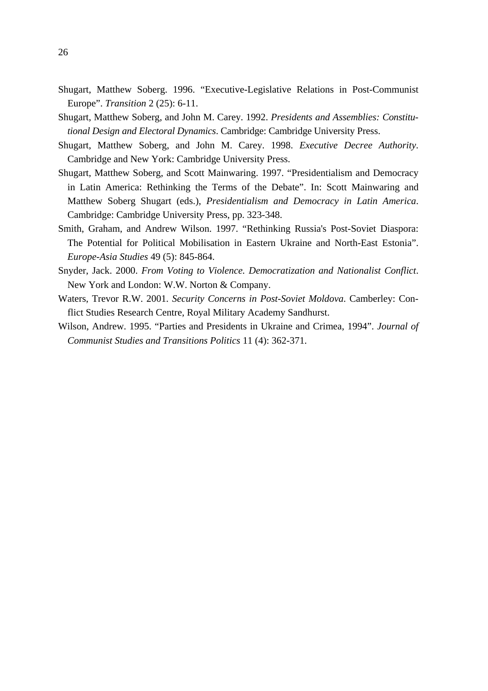- Shugart, Matthew Soberg. 1996. "Executive-Legislative Relations in Post-Communist Europe". *Transition* 2 (25): 6-11.
- Shugart, Matthew Soberg, and John M. Carey. 1992. *Presidents and Assemblies: Constitutional Design and Electoral Dynamics*. Cambridge: Cambridge University Press.
- Shugart, Matthew Soberg, and John M. Carey. 1998. *Executive Decree Authority*. Cambridge and New York: Cambridge University Press.
- Shugart, Matthew Soberg, and Scott Mainwaring. 1997. "Presidentialism and Democracy in Latin America: Rethinking the Terms of the Debate". In: Scott Mainwaring and Matthew Soberg Shugart (eds.), *Presidentialism and Democracy in Latin America*. Cambridge: Cambridge University Press, pp. 323-348.
- Smith, Graham, and Andrew Wilson. 1997. "Rethinking Russia's Post-Soviet Diaspora: The Potential for Political Mobilisation in Eastern Ukraine and North-East Estonia". *Europe-Asia Studies* 49 (5): 845-864.
- Snyder, Jack. 2000. *From Voting to Violence. Democratization and Nationalist Conflict*. New York and London: W.W. Norton & Company.
- Waters, Trevor R.W. 2001. *Security Concerns in Post-Soviet Moldova*. Camberley: Conflict Studies Research Centre, Royal Military Academy Sandhurst.
- Wilson, Andrew. 1995. "Parties and Presidents in Ukraine and Crimea, 1994". *Journal of Communist Studies and Transitions Politics* 11 (4): 362-371.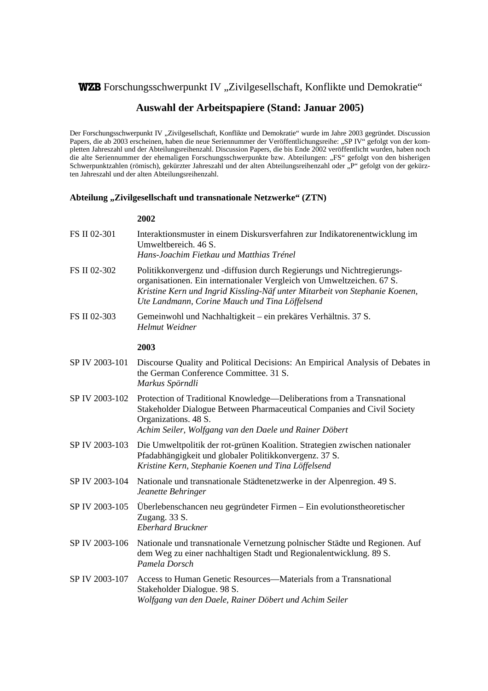# WZB Forschungsschwerpunkt IV "Zivilgesellschaft, Konflikte und Demokratie"

## **Auswahl der Arbeitspapiere (Stand: Januar 2005)**

Der Forschungsschwerpunkt IV "Zivilgesellschaft, Konflikte und Demokratie" wurde im Jahre 2003 gegründet. Discussion Papers, die ab 2003 erscheinen, haben die neue Seriennummer der Veröffentlichungsreihe: "SP IV" gefolgt von der kompletten Jahreszahl und der Abteilungsreihenzahl. Discussion Papers, die bis Ende 2002 veröffentlicht wurden, haben noch die alte Seriennummer der ehemaligen Forschungsschwerpunkte bzw. Abteilungen: "FS" gefolgt von den bisherigen Schwerpunktzahlen (römisch), gekürzter Jahreszahl und der alten Abteilungsreihenzahl oder "P" gefolgt von der gekürzten Jahreszahl und der alten Abteilungsreihenzahl.

#### Abteilung "Zivilgesellschaft und transnationale Netzwerke" (ZTN)

| FS II 02-301   | Interaktionsmuster in einem Diskursverfahren zur Indikatorenentwicklung im<br>Umweltbereich. 46 S.<br>Hans-Joachim Fietkau und Matthias Trénel                                                                                                                                    |
|----------------|-----------------------------------------------------------------------------------------------------------------------------------------------------------------------------------------------------------------------------------------------------------------------------------|
| FS II 02-302   | Politikkonvergenz und -diffusion durch Regierungs und Nichtregierungs-<br>organisationen. Ein internationaler Vergleich von Umweltzeichen. 67 S.<br>Kristine Kern und Ingrid Kissling-Näf unter Mitarbeit von Stephanie Koenen,<br>Ute Landmann, Corine Mauch und Tina Löffelsend |
| FS II 02-303   | Gemeinwohl und Nachhaltigkeit – ein prekäres Verhältnis. 37 S.<br>Helmut Weidner                                                                                                                                                                                                  |
|                | 2003                                                                                                                                                                                                                                                                              |
| SP IV 2003-101 | Discourse Quality and Political Decisions: An Empirical Analysis of Debates in<br>the German Conference Committee. 31 S.<br>Markus Spörndli                                                                                                                                       |
| SP IV 2003-102 | Protection of Traditional Knowledge—Deliberations from a Transnational<br>Stakeholder Dialogue Between Pharmaceutical Companies and Civil Society<br>Organizations. 48 S.<br>Achim Seiler, Wolfgang van den Daele und Rainer Döbert                                               |
| SP IV 2003-103 | Die Umweltpolitik der rot-grünen Koalition. Strategien zwischen nationaler<br>Pfadabhängigkeit und globaler Politikkonvergenz. 37 S.<br>Kristine Kern, Stephanie Koenen und Tina Löffelsend                                                                                       |
| SP IV 2003-104 | Nationale und transnationale Städtenetzwerke in der Alpenregion. 49 S.<br>Jeanette Behringer                                                                                                                                                                                      |
| SP IV 2003-105 | Überlebenschancen neu gegründeter Firmen – Ein evolutionstheoretischer<br>Zugang. 33 S.<br><b>Eberhard Bruckner</b>                                                                                                                                                               |
| SP IV 2003-106 | Nationale und transnationale Vernetzung polnischer Städte und Regionen. Auf<br>dem Weg zu einer nachhaltigen Stadt und Regionalentwicklung. 89 S.<br>Pamela Dorsch                                                                                                                |
| SP IV 2003-107 | Access to Human Genetic Resources—Materials from a Transnational<br>Stakeholder Dialogue. 98 S.<br>Wolfgang van den Daele, Rainer Döbert und Achim Seiler                                                                                                                         |
|                |                                                                                                                                                                                                                                                                                   |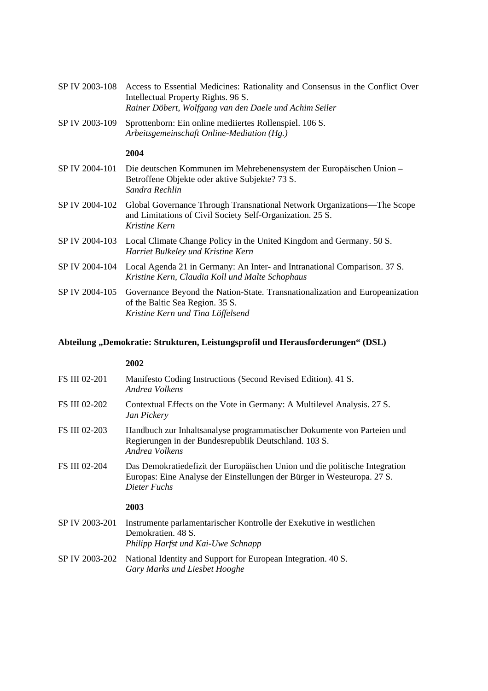|                | SP IV 2003-108 Access to Essential Medicines: Rationality and Consensus in the Conflict Over<br>Intellectual Property Rights. 96 S.<br>Rainer Döbert, Wolfgang van den Daele und Achim Seiler |
|----------------|-----------------------------------------------------------------------------------------------------------------------------------------------------------------------------------------------|
| SP IV 2003-109 | Sprottenborn: Ein online mediiertes Rollenspiel. 106 S.<br>Arbeitsgemeinschaft Online-Mediation (Hg.)                                                                                         |
|                | 2004                                                                                                                                                                                          |
| SP IV 2004-101 | Die deutschen Kommunen im Mehrebenensystem der Europäischen Union-<br>Betroffene Objekte oder aktive Subjekte? 73 S.<br>Sandra Rechlin                                                        |
| SP IV 2004-102 | Global Governance Through Transnational Network Organizations—The Scope<br>and Limitations of Civil Society Self-Organization. 25 S.<br>Kristine Kern                                         |
| SP IV 2004-103 | Local Climate Change Policy in the United Kingdom and Germany. 50 S.<br>Harriet Bulkeley und Kristine Kern                                                                                    |
| SP IV 2004-104 | Local Agenda 21 in Germany: An Inter- and Intranational Comparison. 37 S.<br>Kristine Kern, Claudia Koll und Malte Schophaus                                                                  |
| SP IV 2004-105 | Governance Beyond the Nation-State. Transnationalization and Europeanization<br>of the Baltic Sea Region. 35 S.<br>Kristine Kern und Tina Löffelsend                                          |

# **Abteilung "Demokratie: Strukturen, Leistungsprofil und Herausforderungen" (DSL)**

| <b>FS III 02-201</b> | Manifesto Coding Instructions (Second Revised Edition). 41 S.<br>Andrea Volkens                                                                                        |
|----------------------|------------------------------------------------------------------------------------------------------------------------------------------------------------------------|
| <b>FS III 02-202</b> | Contextual Effects on the Vote in Germany: A Multilevel Analysis. 27 S.<br>Jan Pickery                                                                                 |
| <b>FS III 02-203</b> | Handbuch zur Inhaltsanalyse programmatischer Dokumente von Parteien und<br>Regierungen in der Bundesrepublik Deutschland. 103 S.<br>Andrea Volkens                     |
| <b>FS III 02-204</b> | Das Demokratiedefizit der Europäischen Union und die politische Integration<br>Europas: Eine Analyse der Einstellungen der Bürger in Westeuropa. 27 S.<br>Dieter Fuchs |
|                      | 2003                                                                                                                                                                   |
| SP IV 2003-201       | Instrumente parlamentarischer Kontrolle der Exekutive in westlichen<br>Demokratien, 48 S.<br>Philipp Harfst und Kai-Uwe Schnapp                                        |
| SP IV 2003-202       | National Identity and Support for European Integration. 40 S.<br>Gary Marks und Liesbet Hooghe                                                                         |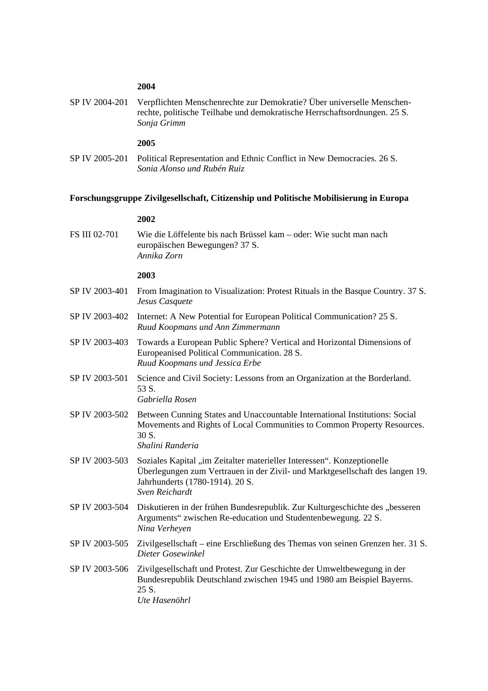#### **2004**

SP IV 2004-201 Verpflichten Menschenrechte zur Demokratie? Über universelle Menschenrechte, politische Teilhabe und demokratische Herrschaftsordnungen. 25 S.  *Sonja Grimm* 

#### **2005**

SP IV 2005-201 Political Representation and Ethnic Conflict in New Democracies. 26 S. *Sonia Alonso und Rubén Ruiz* 

#### **Forschungsgruppe Zivilgesellschaft, Citizenship und Politische Mobilisierung in Europa**

#### **2002**

FS III 02-701 Wie die Löffelente bis nach Brüssel kam – oder: Wie sucht man nach europäischen Bewegungen? 37 S. *Annika Zorn* 

- SP IV 2003-401 From Imagination to Visualization: Protest Rituals in the Basque Country. 37 S. *Jesus Casquete*
- SP IV 2003-402 Internet: A New Potential for European Political Communication? 25 S. *Ruud Koopmans und Ann Zimmermann*
- SP IV 2003-403 Towards a European Public Sphere? Vertical and Horizontal Dimensions of Europeanised Political Communication. 28 S. *Ruud Koopmans und Jessica Erbe*
- SP IV 2003-501 Science and Civil Society: Lessons from an Organization at the Borderland. 53 S.  *Gabriella Rosen*
- SP IV 2003-502 Between Cunning States and Unaccountable International Institutions: Social Movements and Rights of Local Communities to Common Property Resources. 30 S.  *Shalini Randeria*
- SP IV 2003-503 Soziales Kapital "im Zeitalter materieller Interessen". Konzeptionelle Überlegungen zum Vertrauen in der Zivil- und Marktgesellschaft des langen 19. Jahrhunderts (1780-1914). 20 S.  *Sven Reichardt*
- SP IV 2003-504 Diskutieren in der frühen Bundesrepublik. Zur Kulturgeschichte des "besseren Arguments" zwischen Re-education und Studentenbewegung. 22 S.  *Nina Verheyen*
- SP IV 2003-505 Zivilgesellschaft eine Erschließung des Themas von seinen Grenzen her. 31 S.  *Dieter Gosewinkel*
- SP IV 2003-506 Zivilgesellschaft und Protest. Zur Geschichte der Umweltbewegung in der Bundesrepublik Deutschland zwischen 1945 und 1980 am Beispiel Bayerns. 25 S.  *Ute Hasenöhrl*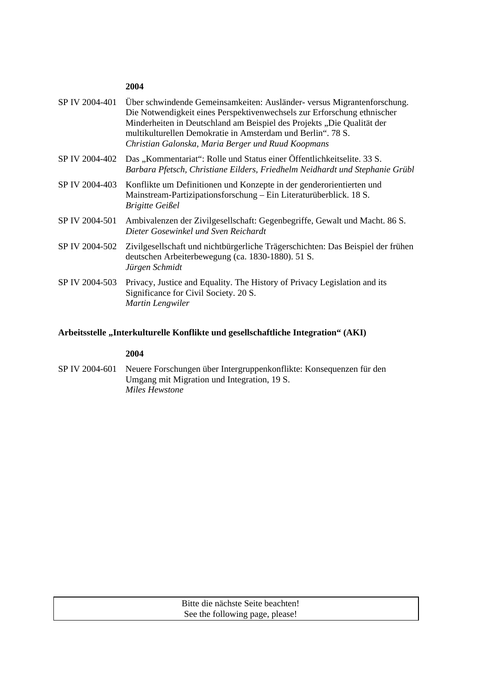## **2004**

| Über schwindende Gemeinsamkeiten: Ausländer- versus Migrantenforschung.<br>Die Notwendigkeit eines Perspektivenwechsels zur Erforschung ethnischer<br>Minderheiten in Deutschland am Beispiel des Projekts "Die Qualität der<br>multikulturellen Demokratie in Amsterdam und Berlin". 78 S.<br>Christian Galonska, Maria Berger und Ruud Koopmans |
|---------------------------------------------------------------------------------------------------------------------------------------------------------------------------------------------------------------------------------------------------------------------------------------------------------------------------------------------------|
| Das "Kommentariat": Rolle und Status einer Öffentlichkeitselite. 33 S.<br>SP IV 2004-402<br>Barbara Pfetsch, Christiane Eilders, Friedhelm Neidhardt und Stephanie Grübl                                                                                                                                                                          |
| Konflikte um Definitionen und Konzepte in der genderorientierten und<br>Mainstream-Partizipationsforschung – Ein Literaturüberblick. 18 S.<br><b>Brigitte Geißel</b>                                                                                                                                                                              |
| Ambivalenzen der Zivilgesellschaft: Gegenbegriffe, Gewalt und Macht. 86 S.<br>Dieter Gosewinkel und Sven Reichardt                                                                                                                                                                                                                                |
| Zivilgesellschaft und nichtbürgerliche Trägerschichten: Das Beispiel der frühen<br>deutschen Arbeiterbewegung (ca. 1830-1880). 51 S.<br>Jürgen Schmidt                                                                                                                                                                                            |
| Privacy, Justice and Equality. The History of Privacy Legislation and its<br>Significance for Civil Society. 20 S.<br>Martin Lengwiler                                                                                                                                                                                                            |
|                                                                                                                                                                                                                                                                                                                                                   |

## **Arbeitsstelle "Interkulturelle Konflikte und gesellschaftliche Integration" (AKI)**

## **2004**

SP IV 2004-601 Neuere Forschungen über Intergruppenkonflikte: Konsequenzen für den Umgang mit Migration und Integration, 19 S.  *Miles Hewstone*